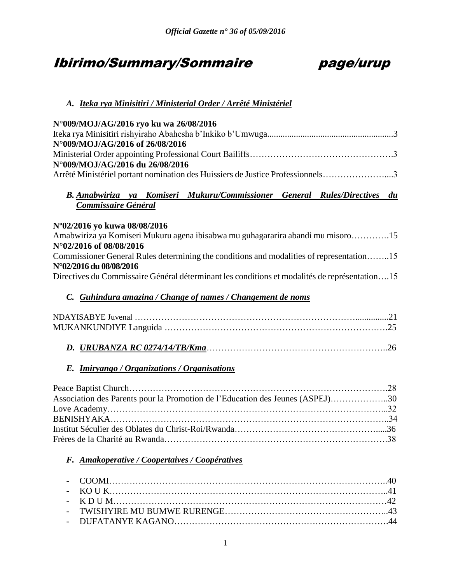# Ibirimo/Summary/Sommaire page/urup



# *A. Iteka rya Minisitiri / Ministerial Order / Arrêté Ministériel*

| N°009/MOJ/AG/2016 ryo ku wa 26/08/2016                                                   |  |  |  |  |
|------------------------------------------------------------------------------------------|--|--|--|--|
| N°009/MOJ/AG/2016 of 26/08/2016                                                          |  |  |  |  |
|                                                                                          |  |  |  |  |
| N°009/MOJ/AG/2016 du 26/08/2016                                                          |  |  |  |  |
| Arrêté Ministériel portant nomination des Huissiers de Justice Professionnels3           |  |  |  |  |
|                                                                                          |  |  |  |  |
| B. Amabwiriza ya Komiseri Mukuru/Commissioner General Rules/Directives du                |  |  |  |  |
| Commissaire Général                                                                      |  |  |  |  |
| N°02/2016 yo kuwa 08/08/2016                                                             |  |  |  |  |
| Amabwiriza ya Komiseri Mukuru agena ibisabwa mu guhagararira abandi mu misoro15          |  |  |  |  |
| N°02/2016 of 08/08/2016                                                                  |  |  |  |  |
| Commissioner General Rules determining the conditions and modalities of representation15 |  |  |  |  |
| N°02/2016 du 08/08/2016                                                                  |  |  |  |  |

Directives du Commissaire Général déterminant les conditions et modalités de représentation….15

# *C. Guhindura amazina / Change of names / Changement de noms*

# *E. Imiryango / Organizations / Organisations*

| Association des Parents pour la Promotion de l'Education des Jeunes (ASPEJ)30 |  |
|-------------------------------------------------------------------------------|--|
|                                                                               |  |
|                                                                               |  |
|                                                                               |  |
|                                                                               |  |

#### *F. Amakoperative / Coopertaives / Coopératives*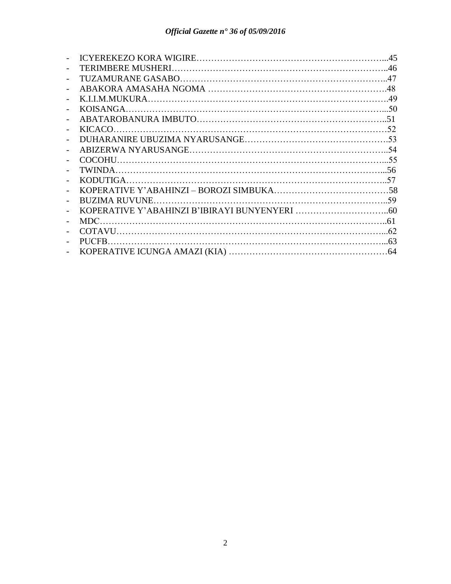| $\overline{a}$           |  |
|--------------------------|--|
|                          |  |
|                          |  |
| $\overline{\phantom{0}}$ |  |
| $\overline{\phantom{0}}$ |  |
|                          |  |
|                          |  |
|                          |  |
|                          |  |
|                          |  |
|                          |  |
| $\overline{\phantom{0}}$ |  |
| $\overline{a}$           |  |
|                          |  |
|                          |  |
|                          |  |
|                          |  |
|                          |  |
|                          |  |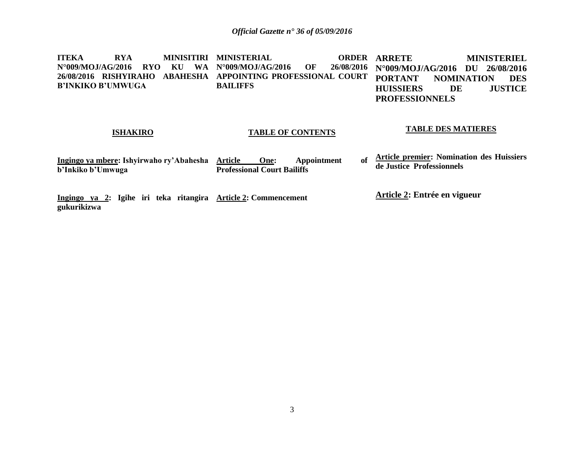**ITEKA RYA MINISITIRI MINISTERIAL ORDER N°009/MOJ/AG/2016 RYO KU WA N°009/MOJ/AG/2016 OF 26/08/2016 26/08/2016 RISHYIRAHO ABAHESHA APPOINTING PROFESSIONAL COURT B'INKIKO B'UMWUGA BAILIFFS ORDER ARRETE MINISTERIEL N°009/MOJ/AG/2016 DU 26/08/2016 PORTANT NOMINATION DES HUISSIERS DE JUSTICE PROFESSIONNELS**

#### **ISHAKIRO**

#### **TABLE OF CONTENTS**

#### **TABLE DES MATIERES**

| Ingingo ya mbere: Ishyirwaho ry'Abahesha Article |                                    | One: | Appointment | of <b>Article premier:</b> Nomination des Huissiers |
|--------------------------------------------------|------------------------------------|------|-------------|-----------------------------------------------------|
| b'Inkiko b'Umwuga                                | <b>Professional Court Bailiffs</b> |      |             | de Justice Professionnels                           |

**Ingingo ya 2: Igihe iri teka ritangira Article 2: Commencement gukurikizwa** 

**Article 2: Entrée en vigueur**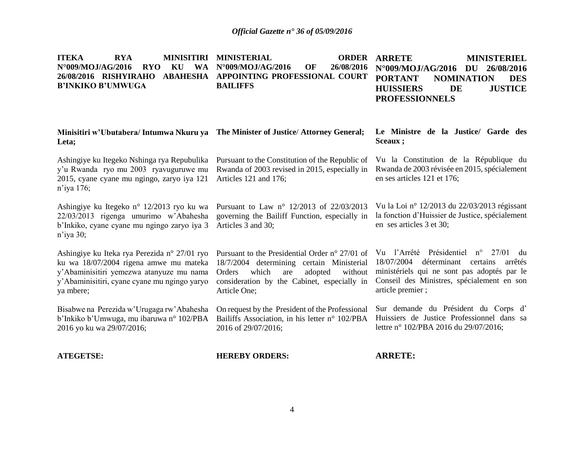| <b>ITEKA</b><br><b>RYA</b><br><b>MINISITIRI</b><br><b>WA</b><br>N°009/MOJ/AG/2016<br><b>RYO</b><br>KU<br>26/08/2016 RISHYIRAHO<br><b>B'INKIKO B'UMWUGA</b>                                      | <b>MINISTERIAL</b><br><b>ORDER</b><br>N°009/MOJ/AG/2016<br>26/08/2016<br>OF<br>ABAHESHA APPOINTING PROFESSIONAL COURT<br><b>BAILIFFS</b>                                                                            | <b>ARRETE</b><br><b>MINISTERIEL</b><br>26/08/2016<br>N°009/MOJ/AG/2016<br>DU<br><b>PORTANT</b><br><b>DES</b><br><b>NOMINATION</b><br><b>JUSTICE</b><br><b>HUISSIERS</b><br>DE<br><b>PROFESSIONNELS</b>                |
|-------------------------------------------------------------------------------------------------------------------------------------------------------------------------------------------------|---------------------------------------------------------------------------------------------------------------------------------------------------------------------------------------------------------------------|-----------------------------------------------------------------------------------------------------------------------------------------------------------------------------------------------------------------------|
| Minisitiri w'Ubutabera/Intumwa Nkuru ya The Minister of Justice/Attorney General;<br>Leta;                                                                                                      |                                                                                                                                                                                                                     | Le Ministre de la Justice/ Garde des<br>Sceaux ;                                                                                                                                                                      |
| Ashingiye ku Itegeko Nshinga rya Repubulika<br>y'u Rwanda ryo mu 2003 ryavuguruwe mu<br>2015, cyane cyane mu ngingo, zaryo iya 121<br>$n$ 'iya 176;                                             | Pursuant to the Constitution of the Republic of<br>Rwanda of 2003 revised in 2015, especially in<br>Articles 121 and 176;                                                                                           | Vu la Constitution de la République du<br>Rwanda de 2003 révisée en 2015, spécialement<br>en ses articles 121 et 176;                                                                                                 |
| Ashingiye ku Itegeko n° 12/2013 ryo ku wa<br>22/03/2013 rigenga umurimo w'Abahesha<br>b'Inkiko, cyane cyane mu ngingo zaryo iya 3<br>$n$ 'iya 30;                                               | Pursuant to Law n° 12/2013 of 22/03/2013<br>governing the Bailiff Function, especially in<br>Articles 3 and 30;                                                                                                     | Vu la Loi nº 12/2013 du 22/03/2013 régissant<br>la fonction d'Huissier de Justice, spécialement<br>en ses articles 3 et 30;                                                                                           |
| Ashingiye ku Iteka rya Perezida n° 27/01 ryo<br>ku wa 18/07/2004 rigena amwe mu mateka<br>y'Abaminisitiri yemezwa atanyuze mu nama<br>y'Abaminisitiri, cyane cyane mu ngingo yaryo<br>ya mbere; | Pursuant to the Presidential Order $n^{\circ}$ 27/01 of<br>18/7/2004 determining certain Ministerial<br>which<br>are<br>adopted<br>without<br>Orders<br>consideration by the Cabinet, especially in<br>Article One; | Vu l'Arrêté Présidentiel<br>$n^{\circ}$ 27/01<br>du<br>18/07/2004<br>déterminant certains<br>arrêtés<br>ministériels qui ne sont pas adoptés par le<br>Conseil des Ministres, spécialement en son<br>article premier; |
| Bisabwe na Perezida w'Urugaga rw'Abahesha<br>b'Inkiko b'Umwuga, mu ibaruwa nº 102/PBA<br>2016 yo ku wa 29/07/2016;                                                                              | On request by the President of the Professional<br>Bailiffs Association, in his letter n° 102/PBA<br>2016 of 29/07/2016;                                                                                            | Sur demande du Président du Corps d'<br>Huissiers de Justice Professionnel dans sa<br>lettre n° 102/PBA 2016 du 29/07/2016;                                                                                           |
| <b>ATEGETSE:</b>                                                                                                                                                                                | <b>HEREBY ORDERS:</b>                                                                                                                                                                                               | <b>ARRETE:</b>                                                                                                                                                                                                        |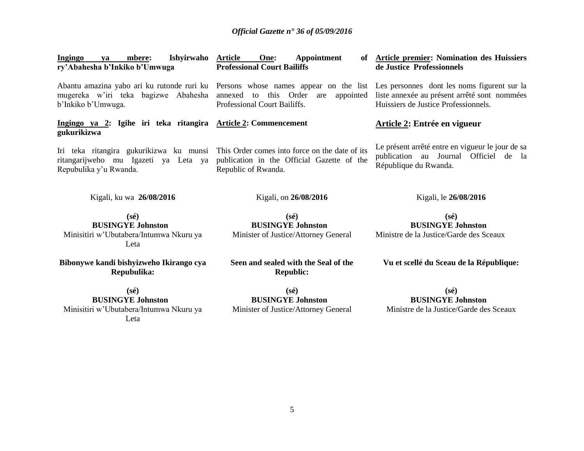| Ishyirwaho<br><b>Ingingo</b><br>mbere:<br>va<br>ry'Abahesha b'Inkiko b'Umwuga                                                                                                                       | <b>Article</b><br>One:<br>Appointment<br>of<br><b>Professional Court Bailiffs</b>                                                                                                     | <b>Article premier: Nomination des Huissiers</b><br>de Justice Professionnels                                           |
|-----------------------------------------------------------------------------------------------------------------------------------------------------------------------------------------------------|---------------------------------------------------------------------------------------------------------------------------------------------------------------------------------------|-------------------------------------------------------------------------------------------------------------------------|
| mugereka w'iri teka bagizwe Abahesha annexed<br>b'Inkiko b'Umwuga.                                                                                                                                  | Abantu amazina yabo ari ku rutonde ruri ku Persons whose names appear on the list Les personnes dont les noms figurent sur la<br>to this Order<br>are<br>Professional Court Bailiffs. | appointed liste annexée au présent arrêté sont nommées<br>Huissiers de Justice Professionnels.                          |
| Ingingo ya 2: Igihe iri teka ritangira Article 2: Commencement<br>gukurikizwa                                                                                                                       |                                                                                                                                                                                       | <b>Article 2: Entrée en vigueur</b>                                                                                     |
| Iri teka ritangira gukurikizwa ku munsi This Order comes into force on the date of its<br>ritangarijweho mu Igazeti ya Leta ya publication in the Official Gazette of the<br>Repubulika y'u Rwanda. | Republic of Rwanda.                                                                                                                                                                   | Le présent arrêté entre en vigueur le jour de sa<br>publication au Journal Officiel de<br>- la<br>République du Rwanda. |
| Kigali, ku wa 26/08/2016                                                                                                                                                                            | Kigali, on 26/08/2016                                                                                                                                                                 | Kigali, le 26/08/2016                                                                                                   |
| $(s\acute{e})$<br><b>BUSINGYE Johnston</b><br>Minisitiri w'Ubutabera/Intumwa Nkuru ya<br>Leta                                                                                                       | $(s\acute{e})$<br><b>BUSINGYE Johnston</b><br>Minister of Justice/Attorney General                                                                                                    | $(s\acute{e})$<br><b>BUSINGYE Johnston</b><br>Ministre de la Justice/Garde des Sceaux                                   |
| Bibonywe kandi bishyizweho Ikirango cya<br>Repubulika:                                                                                                                                              | Seen and sealed with the Seal of the<br><b>Republic:</b>                                                                                                                              | Vu et scellé du Sceau de la République:                                                                                 |

**(sé) BUSINGYE Johnston** Minisitiri w'Ubutabera/Intumwa Nkuru ya Leta

**(sé) BUSINGYE Johnston** Ministre de la Justice/Garde des Sceaux

**(sé) BUSINGYE Johnston** Minister of Justice/Attorney General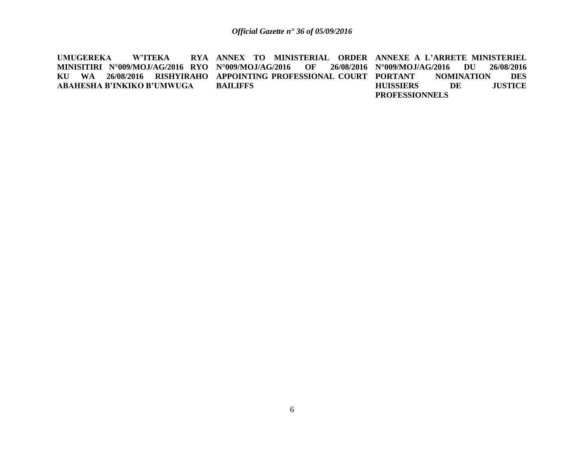**UMUGEREKA W'ITEKA MINISITIRI N°009/MOJ/AG/2016 RYO N°009/MOJ/AG/2016 OF 26/08/2016 KU WA 26/08/2016 RISHYIRAHO APPOINTING PROFESSIONAL COURT ABAHESHA B'INKIKO B'UMWUGA ANNEX TO MINISTERIAL ORDER ANNEXE A L'ARRETE MINISTERIEL BAILIFFS N°009/MOJ/AG/2016 DU 26/08/2016 PORTANTION DES**<br>DE JUSTICE **HUISSIERS** DE **PROFESSIONNELS**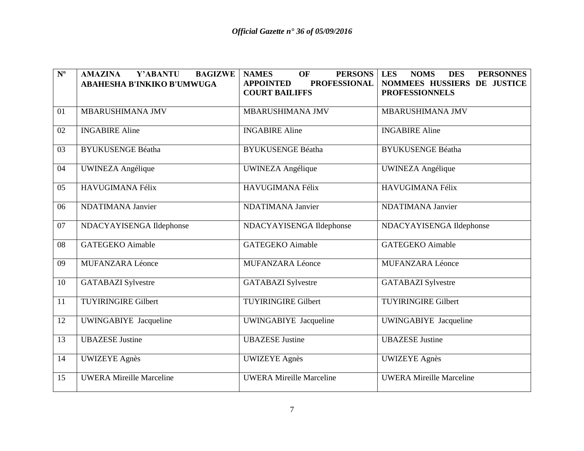| $\mathbf{N}^{\mathrm{o}}$ | Y'ABANTU<br><b>BAGIZWE</b><br><b>AMAZINA</b> | <b>PERSONS</b><br><b>NAMES</b><br><b>OF</b> | <b>PERSONNES</b><br><b>LES</b><br><b>NOMS</b><br><b>DES</b> |
|---------------------------|----------------------------------------------|---------------------------------------------|-------------------------------------------------------------|
|                           | ABAHESHA B'INKIKO B'UMWUGA                   | <b>PROFESSIONAL</b><br><b>APPOINTED</b>     | NOMMEES HUSSIERS DE JUSTICE                                 |
|                           |                                              | <b>COURT BAILIFFS</b>                       | <b>PROFESSIONNELS</b>                                       |
| 01                        | MBARUSHIMANA JMV                             | MBARUSHIMANA JMV                            | MBARUSHIMANA JMV                                            |
|                           |                                              |                                             |                                                             |
| 02                        | <b>INGABIRE Aline</b>                        | <b>INGABIRE Aline</b>                       | <b>INGABIRE Aline</b>                                       |
| 03                        | <b>BYUKUSENGE Béatha</b>                     | <b>BYUKUSENGE Béatha</b>                    | <b>BYUKUSENGE Béatha</b>                                    |
| 04                        | <b>UWINEZA Angélique</b>                     | UWINEZA Angélique                           | <b>UWINEZA Angélique</b>                                    |
| 05                        | HAVUGIMANA Félix                             | HAVUGIMANA Félix                            | HAVUGIMANA Félix                                            |
| 06                        | <b>NDATIMANA Janvier</b>                     | <b>NDATIMANA Janvier</b>                    | <b>NDATIMANA Janvier</b>                                    |
| 07                        | NDACYAYISENGA Ildephonse                     | NDACYAYISENGA Ildephonse                    | NDACYAYISENGA Ildephonse                                    |
| 08                        | <b>GATEGEKO</b> Aimable                      | <b>GATEGEKO</b> Aimable                     | <b>GATEGEKO</b> Aimable                                     |
| 09                        | <b>MUFANZARA Léonce</b>                      | <b>MUFANZARA Léonce</b>                     | <b>MUFANZARA Léonce</b>                                     |
| 10                        | <b>GATABAZI</b> Sylvestre                    | <b>GATABAZI</b> Sylvestre                   | <b>GATABAZI</b> Sylvestre                                   |
| 11                        | <b>TUYIRINGIRE Gilbert</b>                   | <b>TUYIRINGIRE Gilbert</b>                  | <b>TUYIRINGIRE Gilbert</b>                                  |
| 12                        | UWINGABIYE Jacqueline                        | UWINGABIYE Jacqueline                       | UWINGABIYE Jacqueline                                       |
| 13                        | <b>UBAZESE Justine</b>                       | <b>UBAZESE</b> Justine                      | <b>UBAZESE</b> Justine                                      |
| 14                        | <b>UWIZEYE</b> Agnès                         | <b>UWIZEYE</b> Agnès                        | <b>UWIZEYE</b> Agnès                                        |
| 15                        | <b>UWERA Mireille Marceline</b>              | <b>UWERA Mireille Marceline</b>             | <b>UWERA Mireille Marceline</b>                             |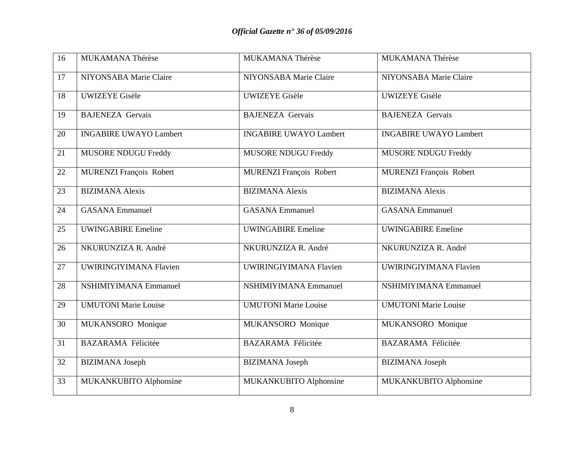| $\overline{16}$ | MUKAMANA Thérèse               | MUKAMANA Thérèse               | MUKAMANA Thérèse               |
|-----------------|--------------------------------|--------------------------------|--------------------------------|
| 17              | NIYONSABA Marie Claire         | NIYONSABA Marie Claire         | NIYONSABA Marie Claire         |
| 18              | <b>UWIZEYE Gisèle</b>          | <b>UWIZEYE</b> Gisèle          | <b>UWIZEYE Gisèle</b>          |
| 19              | <b>BAJENEZA Gervais</b>        | <b>BAJENEZA Gervais</b>        | <b>BAJENEZA Gervais</b>        |
| 20              | <b>INGABIRE UWAYO Lambert</b>  | <b>INGABIRE UWAYO Lambert</b>  | <b>INGABIRE UWAYO Lambert</b>  |
| 21              | <b>MUSORE NDUGU Freddy</b>     | MUSORE NDUGU Freddy            | <b>MUSORE NDUGU Freddy</b>     |
| 22              | <b>MURENZI François Robert</b> | <b>MURENZI François Robert</b> | <b>MURENZI François Robert</b> |
| 23              | <b>BIZIMANA Alexis</b>         | <b>BIZIMANA</b> Alexis         | <b>BIZIMANA Alexis</b>         |
| 24              | <b>GASANA</b> Emmanuel         | <b>GASANA</b> Emmanuel         | <b>GASANA</b> Emmanuel         |
| 25              | <b>UWINGABIRE Emeline</b>      | <b>UWINGABIRE Emeline</b>      | <b>UWINGABIRE Emeline</b>      |
| 26              | NKURUNZIZA R. André            | NKURUNZIZA R. André            | NKURUNZIZA R. André            |
| 27              | UWIRINGIYIMANA Flavien         | <b>UWIRINGIYIMANA Flavien</b>  | <b>UWIRINGIYIMANA Flavien</b>  |
| 28              | <b>NSHIMIYIMANA Emmanuel</b>   | <b>NSHIMIYIMANA Emmanuel</b>   | <b>NSHIMIYIMANA Emmanuel</b>   |
| 29              | <b>UMUTONI</b> Marie Louise    | <b>UMUTONI Marie Louise</b>    | <b>UMUTONI Marie Louise</b>    |
| 30              | MUKANSORO Monique              | MUKANSORO Monique              | MUKANSORO Monique              |
| 31              | <b>BAZARAMA Félicitée</b>      | <b>BAZARAMA Félicitée</b>      | <b>BAZARAMA Félicitée</b>      |
| 32              | <b>BIZIMANA</b> Joseph         | <b>BIZIMANA</b> Joseph         | <b>BIZIMANA</b> Joseph         |
| 33              | MUKANKUBITO Alphonsine         | MUKANKUBITO Alphonsine         | MUKANKUBITO Alphonsine         |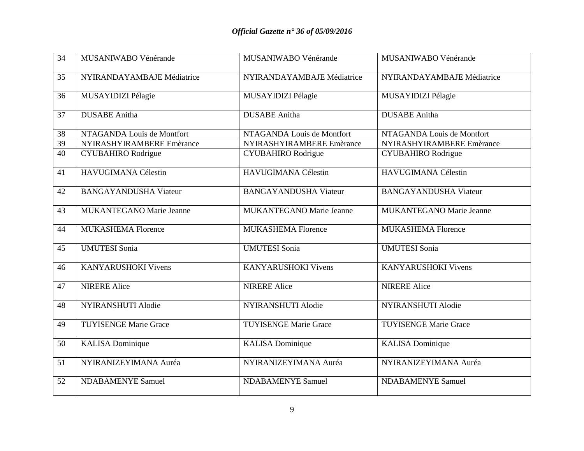| 34              | MUSANIWABO Vénérande            | MUSANIWABO Vénérande            | MUSANIWABO Vénérande            |
|-----------------|---------------------------------|---------------------------------|---------------------------------|
| 35              | NYIRANDAYAMBAJE Médiatrice      | NYIRANDAYAMBAJE Médiatrice      | NYIRANDAYAMBAJE Médiatrice      |
| 36              | MUSAYIDIZI Pélagie              | MUSAYIDIZI Pélagie              | MUSAYIDIZI Pélagie              |
| 37              | <b>DUSABE</b> Anitha            | <b>DUSABE</b> Anitha            | <b>DUSABE</b> Anitha            |
| 38              | NTAGANDA Louis de Montfort      | NTAGANDA Louis de Montfort      | NTAGANDA Louis de Montfort      |
| 39              | NYIRASHYIRAMBERE Emèrance       | NYIRASHYIRAMBERE Emèrance       | NYIRASHYIRAMBERE Emèrance       |
| $\overline{40}$ | <b>CYUBAHIRO</b> Rodrigue       | <b>CYUBAHIRO</b> Rodrigue       | <b>CYUBAHIRO</b> Rodrigue       |
| 41              | HAVUGIMANA Célestin             | HAVUGIMANA Célestin             | HAVUGIMANA Célestin             |
| 42              | <b>BANGAYANDUSHA Viateur</b>    | <b>BANGAYANDUSHA Viateur</b>    | <b>BANGAYANDUSHA Viateur</b>    |
| 43              | <b>MUKANTEGANO Marie Jeanne</b> | <b>MUKANTEGANO Marie Jeanne</b> | <b>MUKANTEGANO Marie Jeanne</b> |
| 44              | <b>MUKASHEMA Florence</b>       | <b>MUKASHEMA Florence</b>       | <b>MUKASHEMA Florence</b>       |
| 45              | <b>UMUTESI Sonia</b>            | <b>UMUTESI Sonia</b>            | <b>UMUTESI Sonia</b>            |
| 46              | <b>KANYARUSHOKI Vivens</b>      | <b>KANYARUSHOKI Vivens</b>      | <b>KANYARUSHOKI Vivens</b>      |
| 47              | <b>NIRERE Alice</b>             | <b>NIRERE Alice</b>             | <b>NIRERE Alice</b>             |
| 48              | NYIRANSHUTI Alodie              | <b>NYIRANSHUTI Alodie</b>       | NYIRANSHUTI Alodie              |
| 49              | <b>TUYISENGE Marie Grace</b>    | <b>TUYISENGE Marie Grace</b>    | <b>TUYISENGE Marie Grace</b>    |
| 50              | <b>KALISA</b> Dominique         | <b>KALISA</b> Dominique         | <b>KALISA</b> Dominique         |
| 51              | NYIRANIZEYIMANA Auréa           | NYIRANIZEYIMANA Auréa           | NYIRANIZEYIMANA Auréa           |
| 52              | <b>NDABAMENYE Samuel</b>        | <b>NDABAMENYE Samuel</b>        | <b>NDABAMENYE Samuel</b>        |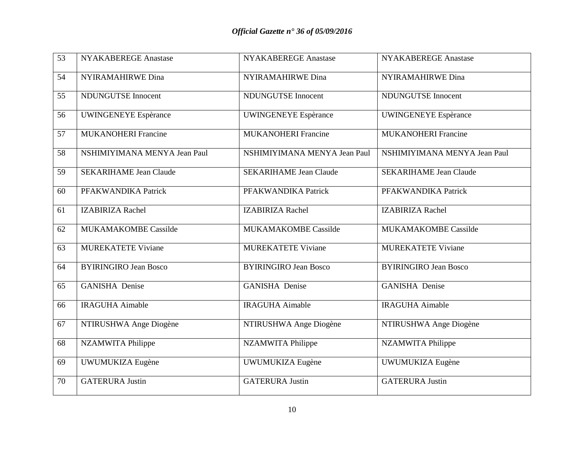| $\overline{53}$ | NYAKABEREGE Anastase          | <b>NYAKABEREGE Anastase</b>   | <b>NYAKABEREGE Anastase</b>   |
|-----------------|-------------------------------|-------------------------------|-------------------------------|
| 54              | NYIRAMAHIRWE Dina             | <b>NYIRAMAHIRWE Dina</b>      | <b>NYIRAMAHIRWE Dina</b>      |
|                 |                               |                               |                               |
| 55              | <b>NDUNGUTSE Innocent</b>     | <b>NDUNGUTSE Innocent</b>     | <b>NDUNGUTSE Innocent</b>     |
| 56              | <b>UWINGENEYE</b> Espèrance   | <b>UWINGENEYE</b> Espèrance   | <b>UWINGENEYE Espèrance</b>   |
| 57              | <b>MUKANOHERI Francine</b>    | <b>MUKANOHERI Francine</b>    | <b>MUKANOHERI Francine</b>    |
| 58              | NSHIMIYIMANA MENYA Jean Paul  | NSHIMIYIMANA MENYA Jean Paul  | NSHIMIYIMANA MENYA Jean Paul  |
| 59              | <b>SEKARIHAME Jean Claude</b> | <b>SEKARIHAME Jean Claude</b> | <b>SEKARIHAME Jean Claude</b> |
| 60              | PFAKWANDIKA Patrick           | PFAKWANDIKA Patrick           | PFAKWANDIKA Patrick           |
| 61              | <b>IZABIRIZA Rachel</b>       | <b>IZABIRIZA Rachel</b>       | <b>IZABIRIZA Rachel</b>       |
| 62              | MUKAMAKOMBE Cassilde          | <b>MUKAMAKOMBE Cassilde</b>   | <b>MUKAMAKOMBE Cassilde</b>   |
| 63              | <b>MUREKATETE Viviane</b>     | <b>MUREKATETE Viviane</b>     | <b>MUREKATETE Viviane</b>     |
| 64              | <b>BYIRINGIRO Jean Bosco</b>  | <b>BYIRINGIRO Jean Bosco</b>  | <b>BYIRINGIRO Jean Bosco</b>  |
| 65              | <b>GANISHA</b> Denise         | <b>GANISHA</b> Denise         | <b>GANISHA Denise</b>         |
| 66              | <b>IRAGUHA Aimable</b>        | <b>IRAGUHA Aimable</b>        | <b>IRAGUHA Aimable</b>        |
| 67              | NTIRUSHWA Ange Diogène        | NTIRUSHWA Ange Diogène        | NTIRUSHWA Ange Diogène        |
| 68              | <b>NZAMWITA Philippe</b>      | <b>NZAMWITA Philippe</b>      | <b>NZAMWITA Philippe</b>      |
| 69              | UWUMUKIZA Eugène              | UWUMUKIZA Eugène              | UWUMUKIZA Eugène              |
| 70              | <b>GATERURA Justin</b>        | <b>GATERURA Justin</b>        | <b>GATERURA Justin</b>        |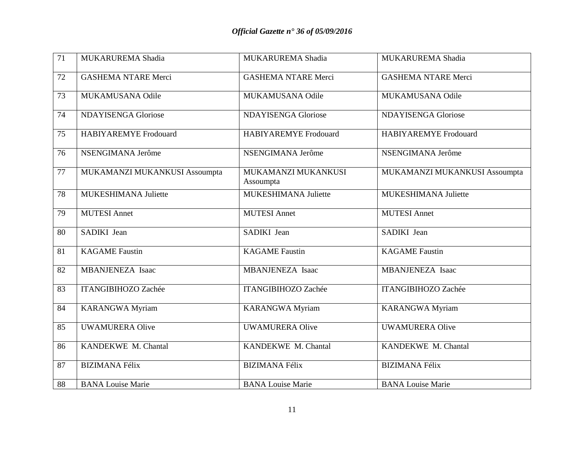| $\overline{71}$ | MUKARUREMA Shadia             | MUKARUREMA Shadia                | MUKARUREMA Shadia             |
|-----------------|-------------------------------|----------------------------------|-------------------------------|
| 72              | <b>GASHEMA NTARE Merci</b>    | <b>GASHEMA NTARE Merci</b>       | <b>GASHEMA NTARE Merci</b>    |
| 73              | MUKAMUSANA Odile              | MUKAMUSANA Odile                 | MUKAMUSANA Odile              |
| 74              | <b>NDAYISENGA Gloriose</b>    | <b>NDAYISENGA Gloriose</b>       | <b>NDAYISENGA Gloriose</b>    |
| 75              | <b>HABIYAREMYE</b> Frodouard  | <b>HABIYAREMYE Frodouard</b>     | HABIYAREMYE Frodouard         |
| 76              | NSENGIMANA Jerôme             | NSENGIMANA Jerôme                | NSENGIMANA Jerôme             |
| 77              | MUKAMANZI MUKANKUSI Assoumpta | MUKAMANZI MUKANKUSI<br>Assoumpta | MUKAMANZI MUKANKUSI Assoumpta |
| 78              | MUKESHIMANA Juliette          | MUKESHIMANA Juliette             | MUKESHIMANA Juliette          |
| 79              | <b>MUTESI Annet</b>           | <b>MUTESI Annet</b>              | <b>MUTESI Annet</b>           |
| 80              | SADIKI Jean                   | SADIKI Jean                      | SADIKI Jean                   |
| 81              | <b>KAGAME</b> Faustin         | <b>KAGAME</b> Faustin            | <b>KAGAME</b> Faustin         |
| 82              | MBANJENEZA Isaac              | MBANJENEZA Isaac                 | MBANJENEZA Isaac              |
| 83              | <b>ITANGIBIHOZO Zachée</b>    | <b>ITANGIBIHOZO Zachée</b>       | <b>ITANGIBIHOZO Zachée</b>    |
| 84              | <b>KARANGWA Myriam</b>        | <b>KARANGWA Myriam</b>           | <b>KARANGWA Myriam</b>        |
| 85              | <b>UWAMURERA Olive</b>        | <b>UWAMURERA Olive</b>           | <b>UWAMURERA Olive</b>        |
| 86              | KANDEKWE M. Chantal           | KANDEKWE M. Chantal              | KANDEKWE M. Chantal           |
| 87              | <b>BIZIMANA Félix</b>         | <b>BIZIMANA Félix</b>            | <b>BIZIMANA Félix</b>         |
| 88              | <b>BANA Louise Marie</b>      | <b>BANA Louise Marie</b>         | <b>BANA Louise Marie</b>      |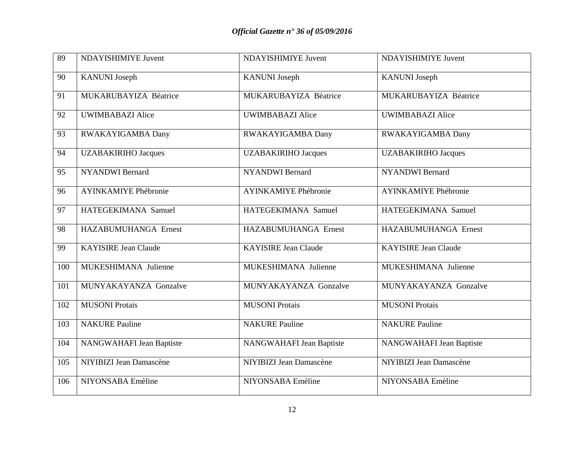| $\overline{89}$ | NDAYISHIMIYE Juvent          | NDAYISHIMIYE Juvent         | NDAYISHIMIYE Juvent         |
|-----------------|------------------------------|-----------------------------|-----------------------------|
|                 |                              |                             |                             |
| 90              | <b>KANUNI</b> Joseph         | <b>KANUNI</b> Joseph        | <b>KANUNI</b> Joseph        |
| 91              | <b>MUKARUBAYIZA Béatrice</b> | MUKARUBAYIZA Béatrice       | MUKARUBAYIZA Béatrice       |
| 92              | <b>UWIMBABAZI Alice</b>      | <b>UWIMBABAZI Alice</b>     | <b>UWIMBABAZI Alice</b>     |
| 93              | RWAKAYIGAMBA Dany            | RWAKAYIGAMBA Dany           | RWAKAYIGAMBA Dany           |
| 94              | <b>UZABAKIRIHO Jacques</b>   | <b>UZABAKIRIHO Jacques</b>  | <b>UZABAKIRIHO Jacques</b>  |
| 95              | <b>NYANDWI</b> Bernard       | <b>NYANDWI</b> Bernard      | <b>NYANDWI</b> Bernard      |
| 96              | <b>AYINKAMIYE Phébronie</b>  | <b>AYINKAMIYE Phébronie</b> | <b>AYINKAMIYE Phébronie</b> |
| 97              | HATEGEKIMANA Samuel          | HATEGEKIMANA Samuel         | HATEGEKIMANA Samuel         |
| 98              | HAZABUMUHANGA Ernest         | HAZABUMUHANGA Ernest        | HAZABUMUHANGA Ernest        |
| 99              | <b>KAYISIRE Jean Claude</b>  | <b>KAYISIRE Jean Claude</b> | <b>KAYISIRE Jean Claude</b> |
| 100             | MUKESHIMANA Julienne         | MUKESHIMANA Julienne        | MUKESHIMANA Julienne        |
| 101             | MUNYAKAYANZA Gonzalve        | MUNYAKAYANZA Gonzalve       | MUNYAKAYANZA Gonzalve       |
| 102             | <b>MUSONI Protais</b>        | <b>MUSONI Protais</b>       | <b>MUSONI Protais</b>       |
| 103             | <b>NAKURE Pauline</b>        | <b>NAKURE Pauline</b>       | <b>NAKURE Pauline</b>       |
| 104             | NANGWAHAFI Jean Baptiste     | NANGWAHAFI Jean Baptiste    | NANGWAHAFI Jean Baptiste    |
| 105             | NIYIBIZI Jean Damascène      | NIYIBIZI Jean Damascène     | NIYIBIZI Jean Damascène     |
| 106             | NIYONSABA Emèline            | NIYONSABA Emèline           | NIYONSABA Emèline           |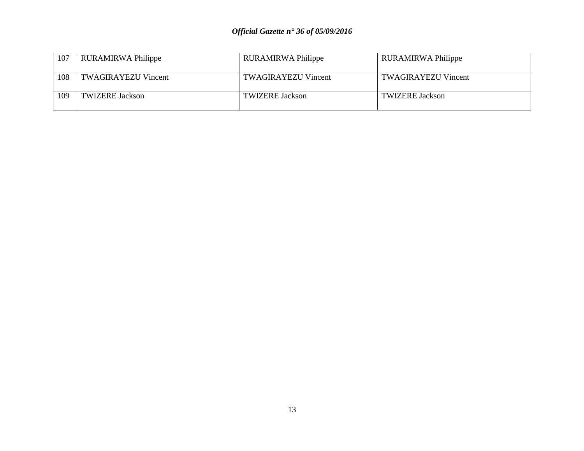| 107 | RURAMIRWA Philippe         | RURAMIRWA Philippe         | <b>RURAMIRWA Philippe</b>  |
|-----|----------------------------|----------------------------|----------------------------|
| 108 | <b>TWAGIRAYEZU Vincent</b> | <b>TWAGIRAYEZU Vincent</b> | <b>TWAGIRAYEZU Vincent</b> |
| 109 | <b>TWIZERE Jackson</b>     | <b>TWIZERE Jackson</b>     | <b>TWIZERE Jackson</b>     |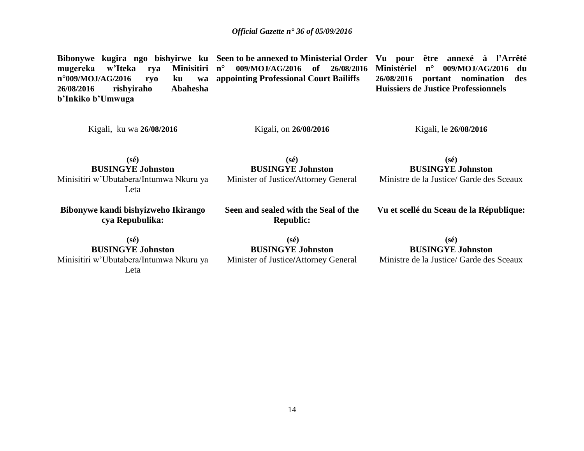**Bibonywe kugira ngo bishyirwe ku Seen to be annexed to Ministerial Order Vu pour être annexé à l'Arrêté mugereka w'Iteka rya Minisitiri n°009/MOJ/AG/2016 ryo ku wa 26/08/2016 rishyiraho Abahesha b'Inkiko b'Umwuga** Kigali, ku wa **26/08/2016 (sé) BUSINGYE Johnston** Minisitiri w'Ubutabera/Intumwa Nkuru ya Leta **n° 009/MOJ/AG/2016 of 26/08/2016 appointing Professional Court Bailiffs** Kigali, on **26/08/2016 (sé) BUSINGYE Johnston** Minister of Justice**/**Attorney General **Ministériel n° 009/MOJ/AG/2016 du 26/08/2016 portant nomination des Huissiers de Justice Professionnels** Kigali, le **26/08/2016 (sé) BUSINGYE Johnston** Ministre de la Justice/ Garde des Sceaux **Bibonywe kandi bishyizweho Ikirango cya Repubulika: (sé) BUSINGYE Johnston** Minisitiri w'Ubutabera/Intumwa Nkuru ya Leta **Seen and sealed with the Seal of the Republic: (sé) BUSINGYE Johnston** Minister of Justice**/**Attorney General **Vu et scellé du Sceau de la République: (sé) BUSINGYE Johnston** Ministre de la Justice/ Garde des Sceaux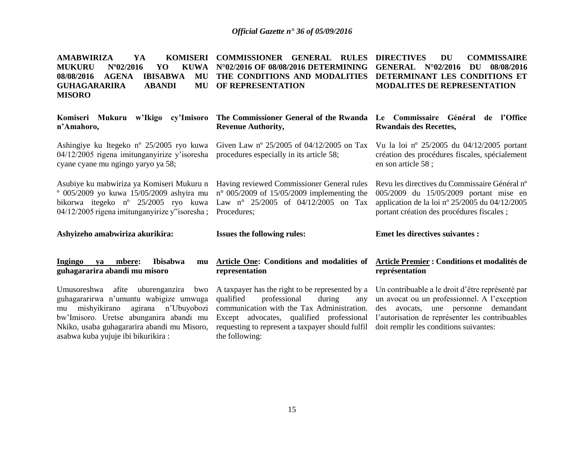| <b>AMABWIRIZA</b><br>YA<br><b>MUKURU</b><br>$N^{\circ}02/2016$<br><b>KUWA</b><br>YO<br><b>AGENA</b><br><b>IBISABWA</b><br>08/08/2016<br>MU<br><b>GUHAGARARIRA</b><br><b>ABANDI</b><br>MU<br><b>MISORO</b> | KOMISERI COMMISSIONER GENERAL RULES<br>N°02/2016 OF 08/08/2016 DETERMINING<br>THE CONDITIONS AND MODALITIES<br>OF REPRESENTATION                                 | <b>DIRECTIVES</b><br><b>DU</b><br><b>COMMISSAIRE</b><br>GENERAL N°02/2016<br>08/08/2016<br>DU<br>DETERMINANT LES CONDITIONS ET<br><b>MODALITES DE REPRESENTATION</b>                    |
|-----------------------------------------------------------------------------------------------------------------------------------------------------------------------------------------------------------|------------------------------------------------------------------------------------------------------------------------------------------------------------------|-----------------------------------------------------------------------------------------------------------------------------------------------------------------------------------------|
| Komiseri Mukuru w'Ikigo cy'Imisoro<br>n'Amahoro,                                                                                                                                                          | The Commissioner General of the Rwanda Le Commissaire Général de l'Office<br><b>Revenue Authority,</b>                                                           | <b>Rwandais des Recettes,</b>                                                                                                                                                           |
| Ashingiye ku Itegeko n <sup>o</sup> 25/2005 ryo kuwa<br>$04/12/2005$ rigena imitunganyirize y'isoresha<br>cyane cyane mu ngingo yaryo ya 58;                                                              | Given Law n° $25/2005$ of 04/12/2005 on Tax<br>procedures especially in its article 58;                                                                          | Vu la loi nº 25/2005 du $04/12/2005$ portant<br>création des procédures fiscales, spécialement<br>en son article 58;                                                                    |
| Asubiye ku mabwiriza ya Komiseri Mukuru n<br>$^{\circ}$ 005/2009 yo kuwa 15/05/2009 ashyira mu<br>bikorwa itegeko n <sup>o</sup> 25/2005 ryo kuwa<br>04/12/2005 rigena imitunganyirize y"isoresha;        | Having reviewed Commissioner General rules<br>$n^{\circ}$ 005/2009 of 15/05/2009 implementing the<br>Law $n^{\circ}$ 25/2005 of 04/12/2005 on Tax<br>Procedures; | Revu les directives du Commissaire Général n°<br>005/2009 du 15/05/2009 portant mise en<br>application de la loi nº 25/2005 du 04/12/2005<br>portant création des procédures fiscales ; |
|                                                                                                                                                                                                           |                                                                                                                                                                  |                                                                                                                                                                                         |
| Ashyizeho amabwiriza akurikira:                                                                                                                                                                           | <b>Issues the following rules:</b>                                                                                                                               | <b>Emet les directives suivantes :</b>                                                                                                                                                  |
| Ingingo<br>Ibisabwa<br>mbere:<br>va<br>mu<br>guhagararira abandi mu misoro                                                                                                                                | <b>Article One: Conditions and modalities of</b><br>representation                                                                                               | Article Premier : Conditions et modalités de<br>représentation                                                                                                                          |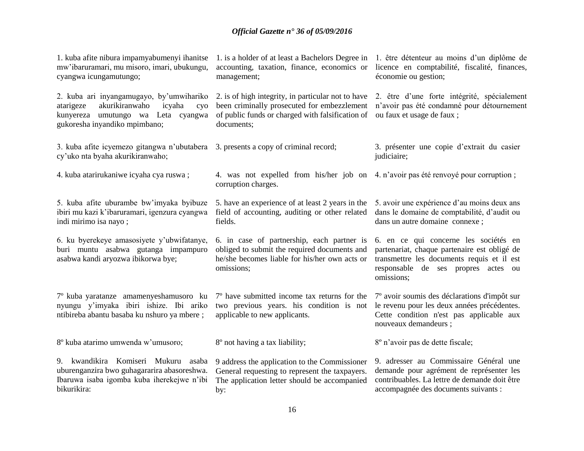| 1. kuba afite nibura impamyabumenyi ihanitse<br>mw'ibaruramari, mu misoro, imari, ubukungu,<br>cyangwa icungamutungo;                                              | 1. is a holder of at least a Bachelors Degree in<br>accounting, taxation, finance, economics or<br>management;                                                      | 1. être détenteur au moins d'un diplôme de<br>licence en comptabilité, fiscalité, finances,<br>économie ou gestion;                                                                      |
|--------------------------------------------------------------------------------------------------------------------------------------------------------------------|---------------------------------------------------------------------------------------------------------------------------------------------------------------------|------------------------------------------------------------------------------------------------------------------------------------------------------------------------------------------|
| 2. kuba ari inyangamugayo, by'umwihariko<br>akurikiranwaho<br>atarigeze<br>icyaha<br>cyo<br>kunyereza<br>umutungo wa Leta cyangwa<br>gukoresha inyandiko mpimbano; | 2. is of high integrity, in particular not to have<br>been criminally prosecuted for embezzlement<br>of public funds or charged with falsification of<br>documents; | 2. être d'une forte intégrité, spécialement<br>n'avoir pas été condamné pour détournement<br>ou faux et usage de faux;                                                                   |
| 3. kuba afite icyemezo gitangwa n'ubutabera<br>cy'uko nta byaha akurikiranwaho;                                                                                    | 3. presents a copy of criminal record;                                                                                                                              | 3. présenter une copie d'extrait du casier<br>judiciaire;                                                                                                                                |
| 4. kuba atarirukaniwe icyaha cya ruswa;                                                                                                                            | 4. was not expelled from his/her job on 4. n'avoir pas été renvoyé pour corruption;<br>corruption charges.                                                          |                                                                                                                                                                                          |
| 5. kuba afite uburambe bw'imyaka byibuze<br>ibiri mu kazi k'ibaruramari, igenzura cyangwa<br>indi mirimo isa nayo;                                                 | 5. have an experience of at least 2 years in the<br>field of accounting, auditing or other related<br>fields.                                                       | 5. avoir une expérience d'au moins deux ans<br>dans le domaine de comptabilité, d'audit ou<br>dans un autre domaine connexe;                                                             |
| 6. ku byerekeye amasosiyete y'ubwifatanye,<br>buri muntu asabwa gutanga impampuro<br>asabwa kandi aryozwa ibikorwa bye;                                            | 6. in case of partnership, each partner is<br>obliged to submit the required documents and<br>he/she becomes liable for his/her own acts or<br>omissions;           | 6. en ce qui concerne les sociétés en<br>partenariat, chaque partenaire est obligé de<br>transmettre les documents requis et il est<br>responsable de ses propres actes ou<br>omissions; |
| 7° kuba yaratanze amamenyeshamusoro ku<br>nyungu y'imyaka ibiri ishize. Ibi ariko<br>ntibireba abantu basaba ku nshuro ya mbere;                                   | 7° have submitted income tax returns for the<br>two previous years. his condition is not<br>applicable to new applicants.                                           | 7° avoir soumis des déclarations d'impôt sur<br>le revenu pour les deux années précédentes.<br>Cette condition n'est pas applicable aux<br>nouveaux demandeurs ;                         |
| 8° kuba atarimo umwenda w'umusoro;                                                                                                                                 | 8° not having a tax liability;                                                                                                                                      | 8° n'avoir pas de dette fiscale;                                                                                                                                                         |
| 9. kwandikira Komiseri Mukuru<br>asaba<br>uburenganzira bwo guhagararira abasoreshwa.<br>Ibaruwa isaba igomba kuba iherekejwe n'ibi<br>bikurikira:                 | 9 address the application to the Commissioner<br>General requesting to represent the taxpayers.<br>The application letter should be accompanied<br>by:              | 9. adresser au Commissaire Général une<br>demande pour agrément de représenter les<br>contribuables. La lettre de demande doit être<br>accompagnée des documents suivants :              |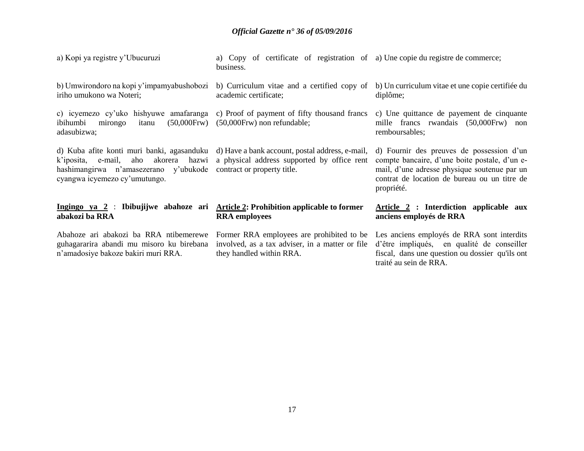| a) Kopi ya registre y'Ubucuruzi                                                                                                                         | a) Copy of certificate of registration of a) Une copie du registre de commerce;<br>business.                                                                                   |                                                                                                                                                                                                          |
|---------------------------------------------------------------------------------------------------------------------------------------------------------|--------------------------------------------------------------------------------------------------------------------------------------------------------------------------------|----------------------------------------------------------------------------------------------------------------------------------------------------------------------------------------------------------|
| b) Umwirondoro na kopi y'impamyabushobozi<br>iriho umukono wa Noteri;                                                                                   | b) Curriculum vitae and a certified copy of b) Un curriculum vitae et une copie certifiée du<br>academic certificate;                                                          | diplôme;                                                                                                                                                                                                 |
| c) icyemezo cy'uko hishyuwe amafaranga c) Proof of payment of fifty thousand francs<br>$(50,000$ Frw $)$<br>ibihumbi<br>mirongo<br>itanu<br>adasubizwa; | $(50,000$ Frw $)$ non refundable;                                                                                                                                              | c) Une quittance de payement de cinquante<br>mille francs rwandais (50,000Frw) non<br>remboursables;                                                                                                     |
| hashimangirwa n'amasezerano y'ubukode contract or property title.<br>cyangwa icyemezo cy'umutungo.                                                      | d) Kuba afite konti muri banki, agasanduku d) Have a bank account, postal address, e-mail,<br>k'iposita, e-mail, aho akorera hazwi a physical address supported by office rent | d) Fournir des preuves de possession d'un<br>compte bancaire, d'une boite postale, d'un e-<br>mail, d'une adresse physique soutenue par un<br>contrat de location de bureau ou un titre de<br>propriété. |
| Ingingo ya 2: Ibibujijwe abahoze ari Article 2: Prohibition applicable to former<br>abakozi ba RRA                                                      | <b>RRA</b> employees                                                                                                                                                           | Article 2 : Interdiction applicable aux<br>anciens employés de RRA                                                                                                                                       |
| Abahoze ari abakozi ba RRA ntibemerewe<br>guhagararira abandi mu misoro ku birebana<br>n'amadosiye bakoze bakiri muri RRA.                              | Former RRA employees are prohibited to be Les anciens employés de RRA sont interdits<br>involved, as a tax adviser, in a matter or file<br>they handled within RRA.            | d'être impliqués, en qualité de conseiller<br>fiscal, dans une question ou dossier qu'ils ont<br>traité au sein de RRA.                                                                                  |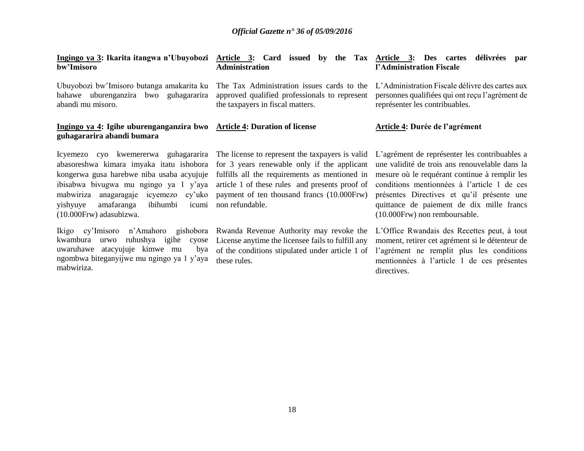| bw'Imisoro                                                                                                                 | Ingingo ya 3: Ikarita itangwa n'Ubuyobozi Article 3: Card issued by the Tax Article 3: Des cartes<br><b>Administration</b>                                                                                                                                                                                                                                                                                                                                                                                                                                                                                                                                                                                     | délivrées<br>par<br>l'Administration Fiscale                                                                                         |
|----------------------------------------------------------------------------------------------------------------------------|----------------------------------------------------------------------------------------------------------------------------------------------------------------------------------------------------------------------------------------------------------------------------------------------------------------------------------------------------------------------------------------------------------------------------------------------------------------------------------------------------------------------------------------------------------------------------------------------------------------------------------------------------------------------------------------------------------------|--------------------------------------------------------------------------------------------------------------------------------------|
| Ubuyobozi bw'Imisoro butanga amakarita ku<br>bahawe uburenganzira bwo guhagararira<br>abandi mu misoro.                    | The Tax Administration issues cards to the<br>approved qualified professionals to represent<br>the taxpayers in fiscal matters.                                                                                                                                                                                                                                                                                                                                                                                                                                                                                                                                                                                | L'Administration Fiscale délivre des cartes aux<br>personnes qualifiées qui ont reçu l'agrément de<br>représenter les contribuables. |
| Ingingo ya 4: Igihe uburenganganzira bwo Article 4: Duration of license<br>guhagararira abandi bumara                      |                                                                                                                                                                                                                                                                                                                                                                                                                                                                                                                                                                                                                                                                                                                | Article 4: Durée de l'agrément                                                                                                       |
| amafaranga<br>ibihumbi<br>yishyuye<br>(10.000Frw) adasubizwa.                                                              | Icyemezo cyo kwemererwa guhagararira The license to represent the taxpayers is valid L'agrément de représenter les contribuables a<br>abasoreshwa kimara imyaka itatu ishobora for 3 years renewable only if the applicant une validité de trois ans renouvelable dans la<br>kongerwa gusa harebwe niba usaba acyujuje fulfills all the requirements as mentioned in mesure où le requérant continue à remplir les<br>ibisabwa bivugwa mu ngingo ya 1 y'aya article 1 of these rules and presents proof of conditions mentionnées à l'article 1 de ces<br>mabwiriza anagaragaje icyemezo cy'uko payment of ten thousand francs (10.000Frw) présentes Directives et qu'il présente une<br>icumi non refundable. | quittance de paiement de dix mille francs<br>(10.000Frw) non remboursable.                                                           |
| ruhushya igihe cyose<br>kwambura urwo<br>uwaruhawe atacyujuje kimwe mu<br>bya<br>ngombwa biteganyijwe mu ngingo ya 1 y'aya | Ikigo cy'Imisoro n'Amahoro gishobora Rwanda Revenue Authority may revoke the L'Office Rwandais des Recettes peut, à tout<br>License anytime the licensee fails to fulfill any moment, retirer cet agrément si le détenteur de<br>of the conditions stipulated under article 1 of l'agrément ne remplit plus les conditions<br>these rules.                                                                                                                                                                                                                                                                                                                                                                     | mentionnées à l'article 1 de ces présentes                                                                                           |

directives.

mabwiriza.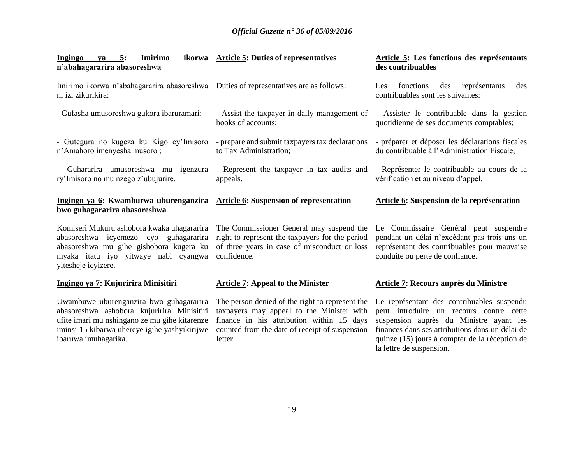| Imirimo<br>Ingingo<br>$ya = 5$ :<br>n'abahagararira abasoreshwa                                                                                                                                                 | ikorwa Article 5: Duties of representatives                                                                                                                                                            | Article 5: Les fonctions des représentants<br>des contribuables                                                                                                                                                                       |
|-----------------------------------------------------------------------------------------------------------------------------------------------------------------------------------------------------------------|--------------------------------------------------------------------------------------------------------------------------------------------------------------------------------------------------------|---------------------------------------------------------------------------------------------------------------------------------------------------------------------------------------------------------------------------------------|
| Imirimo ikorwa n'abahagararira abasoreshwa Duties of representatives are as follows:<br>ni izi zikurikira:                                                                                                      |                                                                                                                                                                                                        | fonctions<br>représentants<br>Les<br>des<br>des<br>contribuables sont les suivantes:                                                                                                                                                  |
| - Gufasha umusoreshwa gukora ibaruramari;                                                                                                                                                                       | - Assist the taxpayer in daily management of - Assister le contribuable dans la gestion<br>books of accounts:                                                                                          | quotidienne de ses documents comptables;                                                                                                                                                                                              |
| - Gutegura no kugeza ku Kigo cy'Imisoro<br>n'Amahoro imenyesha musoro;                                                                                                                                          | - prepare and submit taxpayers tax declarations<br>to Tax Administration;                                                                                                                              | - préparer et déposer les déclarations fiscales<br>du contribuable à l'Administration Fiscale;                                                                                                                                        |
| Guhararira umusoreshwa mu igenzura<br>$\overline{\phantom{0}}$<br>ry'Imisoro no mu nzego z'ubujurire.                                                                                                           | - Represent the taxpayer in tax audits and<br>appeals.                                                                                                                                                 | - Représenter le contribuable au cours de la<br>vérification et au niveau d'appel.                                                                                                                                                    |
| Ingingo ya 6: Kwamburwa uburenganzira Article 6: Suspension of representation<br>bwo guhagararira abasoreshwa                                                                                                   |                                                                                                                                                                                                        | Article 6: Suspension de la représentation                                                                                                                                                                                            |
| Komiseri Mukuru ashobora kwaka uhagararira<br>abasoreshwa icyemezo cyo guhagararira<br>abasoreshwa mu gihe gishobora kugera ku<br>myaka itatu iyo yitwaye nabi cyangwa<br>vitesheje icyizere.                   | The Commissioner General may suspend the<br>right to represent the taxpayers for the period<br>of three years in case of misconduct or loss<br>confidence.                                             | Le Commissaire Général peut suspendre<br>pendant un délai n'excédant pas trois ans un<br>représentant des contribuables pour mauvaise<br>conduite ou perte de confiance.                                                              |
| Ingingo ya 7: Kujuririra Minisitiri                                                                                                                                                                             | <b>Article 7: Appeal to the Minister</b>                                                                                                                                                               | Article 7: Recours auprès du Ministre                                                                                                                                                                                                 |
| Uwambuwe uburenganzira bwo guhagararira<br>abasoreshwa ashobora kujuririra Minisitiri<br>ufite imari mu nshingano ze mu gihe kitarenze<br>iminsi 15 kibarwa uhereye igihe yashyikirijwe<br>ibaruwa imuhagarika. | The person denied of the right to represent the<br>taxpayers may appeal to the Minister with<br>finance in his attribution within 15 days<br>counted from the date of receipt of suspension<br>letter. | Le représentant des contribuables suspendu<br>peut introduire un recours contre cette<br>suspension auprès du Ministre ayant les<br>finances dans ses attributions dans un délai de<br>quinze (15) jours à compter de la réception de |

la lettre de suspension.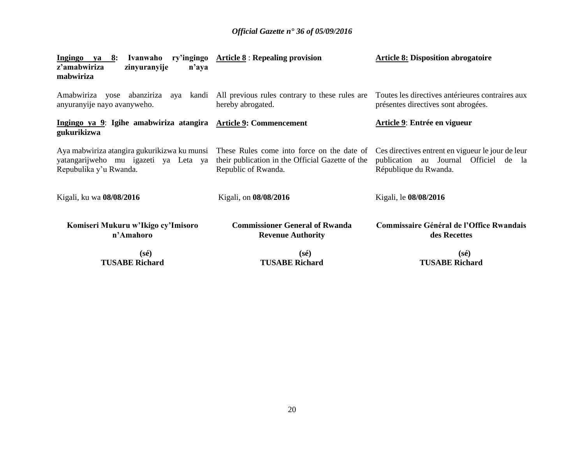| Ingingo ya 8:<br>Ivanwaho<br>z'amabwiriza<br>zinyuranyije<br>n'aya<br>mabwiriza | ry'ingingo $Article 8$ : Repealing provision                                                                                                                      | <b>Article 8: Disposition abrogatoire</b>                                                                           |
|---------------------------------------------------------------------------------|-------------------------------------------------------------------------------------------------------------------------------------------------------------------|---------------------------------------------------------------------------------------------------------------------|
| Amabwiriza yose abanziriza<br>anyuranyije nayo avanyweho.                       | aya kandi All previous rules contrary to these rules are<br>hereby abrogated.                                                                                     | Toutes les directives antérieures contraires aux<br>présentes directives sont abrogées.                             |
| Ingingo ya 9: Igihe amabwiriza atangira Article 9: Commencement<br>gukurikizwa  |                                                                                                                                                                   | <b>Article 9: Entrée en vigueur</b>                                                                                 |
| yatangarijweho mu igazeti ya Leta ya<br>Repubulika y'u Rwanda.                  | Aya mabwiriza atangira gukurikizwa ku munsi These Rules come into force on the date of<br>their publication in the Official Gazette of the<br>Republic of Rwanda. | Ces directives entrent en vigueur le jour de leur<br>publication au Journal Officiel de la<br>République du Rwanda. |
| Kigali, ku wa 08/08/2016                                                        | Kigali, on 08/08/2016                                                                                                                                             | Kigali, le 08/08/2016                                                                                               |
| Komiseri Mukuru w'Ikigo cy'Imisoro<br>n'Amahoro                                 | <b>Commissioner General of Rwanda</b><br><b>Revenue Authority</b>                                                                                                 | <b>Commissaire Général de l'Office Rwandais</b><br>des Recettes                                                     |
| $(s\acute{e})$<br><b>TUSABE Richard</b>                                         | $(s\acute{e})$<br><b>TUSABE Richard</b>                                                                                                                           | $(s\acute{e})$<br><b>TUSABE Richard</b>                                                                             |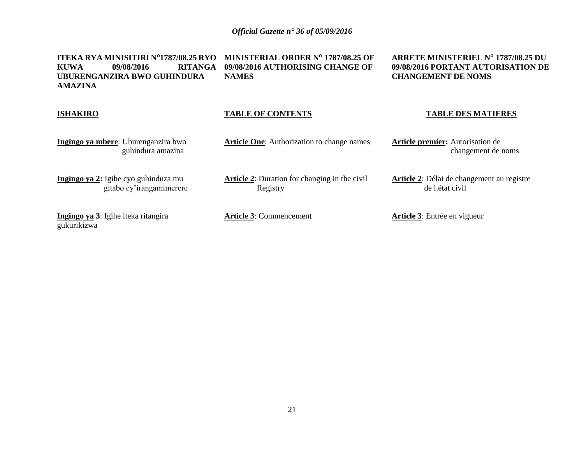**ITEKA RYA MINISITIRI N<sup>o</sup>1787/08.25 RYO KUWA 09/08/2016 RITANGA UBURENGANZIRA BWO GUHINDURA AMAZINA NAMES**

**MINISTERIAL ORDER N<sup>o</sup> 1787/08.25 OF 09/08/2016 AUTHORISING CHANGE OF**

#### **ARRETE MINISTERIEL N<sup>o</sup> 1787/08.25 DU 09/08/2016 PORTANT AUTORISATION DE CHANGEMENT DE NOMS**

#### **ISHAKIRO**

#### **TABLE OF CONTENTS**

**Ingingo ya mbere**: Uburenganzira bwo guhindura amazina

**Article One**: Authorization to change names

**Article 2**: Duration for changing in the civil

**Article premier:** Autorisation de changement de noms

**Article 2**: Délai de changement au registre

**TABLE DES MATIERES**

**Ingingo ya 2:** Igihe cyo guhinduza mu gitabo cy'irangamimerere

**Ingingo ya 3**: Igihe iteka ritangira gukurikizwa

**Article 3**: Commencement

Registry

**Article 3**: Entrée en vigueur

de l.état civil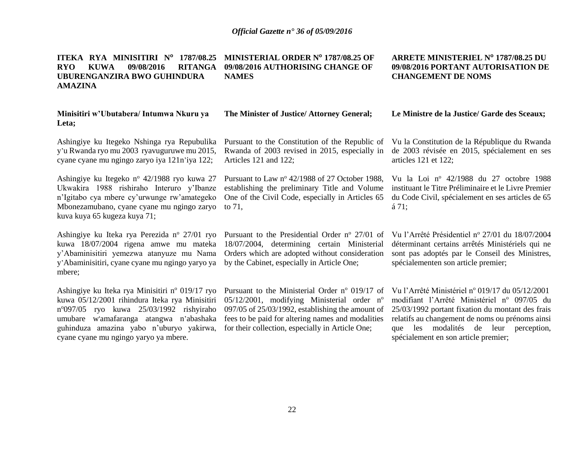#### **ITEKA RYA MINISITIRI N<sup>o</sup> 1787/08.25 RYO KUWA 09/08/2016 RITANGA UBURENGANZIRA BWO GUHINDURA AMAZINA MINISTERIAL ORDER N<sup>o</sup> 1787/08.25 OF 09/08/2016 AUTHORISING CHANGE OF NAMES**

#### **Minisitiri w'Ubutabera/ Intumwa Nkuru ya Leta;**

**The Minister of Justice/ Attorney General;**

#### **ARRETE MINISTERIEL N<sup>o</sup> 1787/08.25 DU 09/08/2016 PORTANT AUTORISATION DE CHANGEMENT DE NOMS**

# **Le Ministre de la Justice/ Garde des Sceaux;**

Ashingiye ku Itegeko Nshinga rya Repubulika y'u Rwanda ryo mu 2003 ryavuguruwe mu 2015, cyane cyane mu ngingo zaryo iya 121n'iya 122;

Ashingiye ku Itegeko n<sup>o</sup> 42/1988 ryo kuwa 27 Ukwakira 1988 rishiraho Interuro y'Ibanze n'Igitabo cya mbere cy'urwunge rw'amategeko Mbonezamubano, cyane cyane mu ngingo zaryo kuva kuya 65 kugeza kuya 71;

Ashingiye ku Iteka rya Perezida n<sup>o</sup> 27/01 ryo kuwa 18/07/2004 rigena amwe mu mateka y'Abaminisitiri yemezwa atanyuze mu Nama y'Abaminisitiri, cyane cyane mu ngingo yaryo ya mbere;

Ashingiye ku Iteka rya Minisitiri n° 019/17 ryo kuwa 05/12/2001 rihindura Iteka rya Minisitiri n <sup>o</sup>097/05 ryo kuwa 25/03/1992 rishyiraho umubare w'amafaranga atangwa n'abashaka guhinduza amazina yabo n'uburyo yakirwa, cyane cyane mu ngingo yaryo ya mbere.

Articles 121 and 122;

Pursuant to Law nº 42/1988 of 27 October 1988, establishing the preliminary Title and Volume One of the Civil Code, especially in Articles 65 to 71,

Pursuant to the Presidential Order nº 27/01 of 18/07/2004, determining certain Ministerial Orders which are adopted without consideration by the Cabinet, especially in Article One;

Pursuant to the Ministerial Order nº 019/17 of 05/12/2001, modifying Ministerial order  $n^{\circ}$ 097/05 of 25/03/1992, establishing the amount of fees to be paid for altering names and modalities for their collection, especially in Article One;

Pursuant to the Constitution of the Republic of Vu la Constitution de la République du Rwanda Rwanda of 2003 revised in 2015, especially in de 2003 révisée en 2015, spécialement en ses articles 121 et 122;

> Vu la Loi n<sup>o</sup> 42/1988 du 27 octobre 1988 instituant le Titre Préliminaire et le Livre Premier du Code Civil, spécialement en ses articles de 65 á 71;

> Vu l'Arrêté Présidentiel nº 27/01 du 18/07/2004 déterminant certains arrêtés Ministériels qui ne sont pas adoptés par le Conseil des Ministres, spécialementen son article premier;

> Vu l'Arrêté Ministériel n<sup>o</sup> 019/17 du 05/12/2001 modifiant l'Arrêté Ministériel nº 097/05 du 25/03/1992 portant fixation du montant des frais relatifs au changement de noms ou prénoms ainsi que les modalités de leur perception, spécialement en son article premier;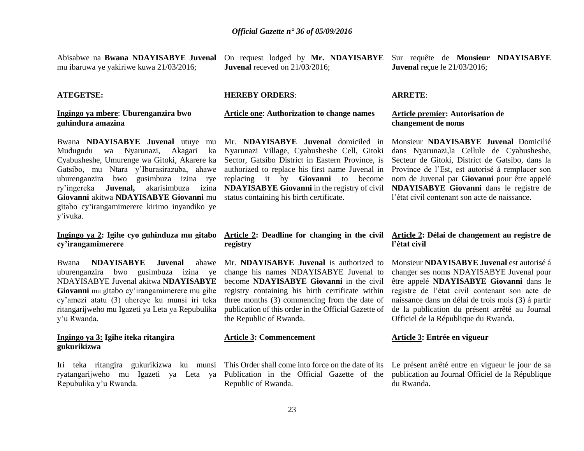|                                         |                                          | Abisabwe na Bwana NDAYISABYE Juvenal On request lodged by Mr. NDAYISABYE Sur requête de Monsieur NDAYISABYE |
|-----------------------------------------|------------------------------------------|-------------------------------------------------------------------------------------------------------------|
| mu ibaruwa ye yakiriwe kuwa 21/03/2016; | <b>Juvenal</b> receved on $21/03/2016$ ; | <b>Juvenal</b> reçue le $21/03/2016$ ;                                                                      |

#### **ATEGETSE:**

#### **Ingingo ya mbere**: **Uburenganzira bwo guhindura amazina**

Bwana **NDAYISABYE Juvenal** utuye mu Mudugudu wa Nyarunazi, Akagari ka Cyabusheshe, Umurenge wa Gitoki, Akarere ka Gatsibo, mu Ntara y'Iburasirazuba, ahawe uburenganzira bwo gusimbuza izina rye replacing it by **Giovanni** to become ry'ingereka **Juvenal,** akarisimbuza izina **Giovanni** akitwa **NDAYISABYE Giovanni** mu gitabo cy'irangamimerere kirimo inyandiko ye y'ivuka.

#### **Ingingo ya 2: Igihe cyo guhinduza mu gitabo cy'irangamimerere**

Bwana **NDAYISABYE Juvenal** ahawe uburenganzira bwo gusimbuza izina ye NDAYISABYE Juvenal akitwa **NDAYISABYE Giovanni** mu gitabo cy'irangamimerere mu gihe cy'amezi atatu (3) uhereye ku munsi iri teka ritangarijweho mu Igazeti ya Leta ya Repubulika y'u Rwanda.

#### **Ingingo ya 3: Igihe iteka ritangira gukurikizwa**

Iri teka ritangira gukurikizwa ku munsi ryatangarijweho mu Igazeti ya Leta ya Repubulika y'u Rwanda.

#### **HEREBY ORDERS**:

#### **Article one**: **Authorization to change names**

Nyarunazi Village, Cyabusheshe Cell, Gitoki Sector, Gatsibo District in Eastern Province, is authorized to replace his first name Juvenal in status containing his birth certificate.

# **registry**

Mr. **NDAYISABYE Juvenal** is authorized to change his names NDAYISABYE Juvenal to become **NDAYISABYE Giovanni** in the civil registry containing his birth certificate within three months (3) commencing from the date of publication of this order in the Official Gazette of the Republic of Rwanda.

#### **Article 3: Commencement**

Republic of Rwanda.

#### **ARRETE**:

#### **Article premier: Autorisation de changement de noms**

Mr. **NDAYISABYE Juvenal** domiciled in Monsieur **NDAYISABYE Juvenal** Domicilié **NDAYISABYE Giovanni** in the registry of civil **NDAYISABYE Giovanni** dans le registre de dans Nyarunazi,la Cellule de Cyabusheshe, Secteur de Gitoki, District de Gatsibo, dans la Province de l'Est, est autorisé á remplacer son nom de Juvenal par **Giovanni** pour être appelé l'état civil contenant son acte de naissance.

#### **Article 2: Deadline for changing in the civil Article 2: Délai de changement au registre de l'état civil**

Monsieur **NDAYISABYE Juvenal** est autorisé á changer ses noms NDAYISABYE Juvenal pour être appelé **NDAYISABYE Giovanni** dans le registre de l'état civil contenant son acte de naissance dans un délai de trois mois (3) á partir de la publication du présent arrêté au Journal Officiel de la République du Rwanda.

#### **Article 3: Entrée en vigueur**

This Order shall come into force on the date of its Le présent arrêté entre en vigueur le jour de sa Publication in the Official Gazette of the publication au Journal Officiel de la République du Rwanda.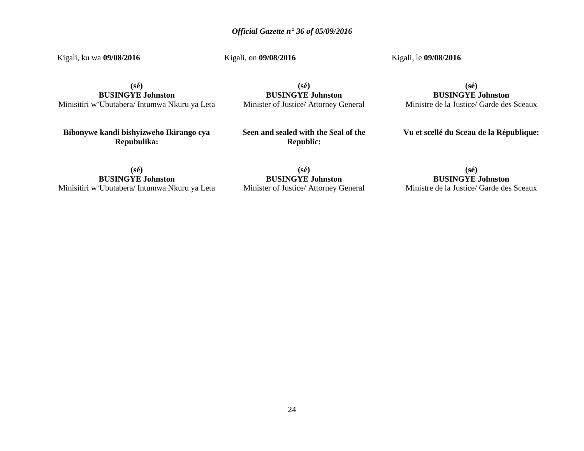Kigali, ku wa **09/08/2016**

Kigali, on **09/08/2016**

Kigali, le **09/08/2016**

**(sé) BUSINGYE Johnston** Minisitiri w'Ubutabera/ Intumwa Nkuru ya Leta

**(sé) BUSINGYE Johnston** Minister of Justice/ Attorney General

**Bibonywe kandi bishyizweho Ikirango cya Repubulika:**

**Seen and sealed with the Seal of the Republic:**

**(sé)**

**BUSINGYE Johnston** Ministre de la Justice/ Garde des Sceaux

**Vu et scellé du Sceau de la République:**

**(sé) BUSINGYE Johnston** Minisitiri w'Ubutabera/ Intumwa Nkuru ya Leta

**(sé) BUSINGYE Johnston** Minister of Justice/ Attorney General

**(sé) BUSINGYE Johnston** Ministre de la Justice/ Garde des Sceaux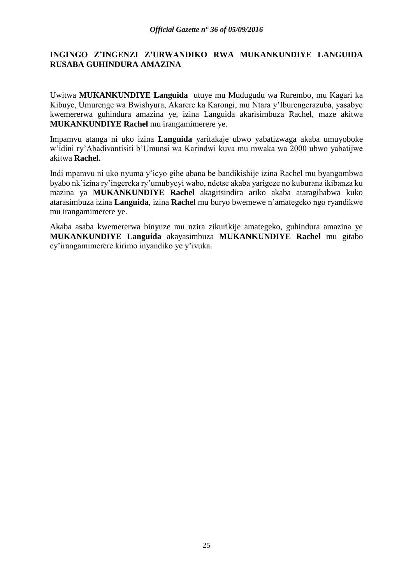# **INGINGO Z'INGENZI Z'URWANDIKO RWA MUKANKUNDIYE LANGUIDA RUSABA GUHINDURA AMAZINA**

Uwitwa **MUKANKUNDIYE Languida** utuye mu Mudugudu wa Rurembo, mu Kagari ka Kibuye, Umurenge wa Bwishyura, Akarere ka Karongi, mu Ntara y'Iburengerazuba, yasabye kwemererwa guhindura amazina ye, izina Languida akarisimbuza Rachel, maze akitwa **MUKANKUNDIYE Rachel** mu irangamimerere ye.

Impamvu atanga ni uko izina **Languida** yaritakaje ubwo yabatizwaga akaba umuyoboke w'idini ry'Abadivantisiti b'Umunsi wa Karindwi kuva mu mwaka wa 2000 ubwo yabatijwe akitwa **Rachel.**

Indi mpamvu ni uko nyuma y'icyo gihe abana be bandikishije izina Rachel mu byangombwa byabo nk'izina ry'ingereka ry'umubyeyi wabo, ndetse akaba yarigeze no kuburana ikibanza ku mazina ya **MUKANKUNDIYE Rachel** akagitsindira ariko akaba ataragihabwa kuko atarasimbuza izina **Languida**, izina **Rachel** mu buryo bwemewe n'amategeko ngo ryandikwe mu irangamimerere ye.

Akaba asaba kwemererwa binyuze mu nzira zikurikije amategeko, guhindura amazina ye **MUKANKUNDIYE Languida** akayasimbuza **MUKANKUNDIYE Rachel** mu gitabo cy'irangamimerere kirimo inyandiko ye y'ivuka.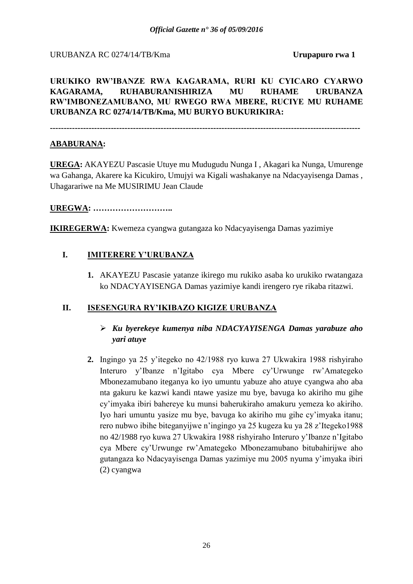### URUBANZA RC 0274/14/TB/Kma **Urupapuro rwa 1**

**URUKIKO RW'IBANZE RWA KAGARAMA, RURI KU CYICARO CYARWO KAGARAMA, RUHABURANISHIRIZA MU RUHAME URUBANZA RW'IMBONEZAMUBANO, MU RWEGO RWA MBERE, RUCIYE MU RUHAME URUBANZA RC 0274/14/TB/Kma, MU BURYO BUKURIKIRA:**

**----------------------------------------------------------------------------------------------------------------**

# **ABABURANA:**

**UREGA:** AKAYEZU Pascasie Utuye mu Mudugudu Nunga I , Akagari ka Nunga, Umurenge wa Gahanga, Akarere ka Kicukiro, Umujyi wa Kigali washakanye na Ndacyayisenga Damas , Uhagarariwe na Me MUSIRIMU Jean Claude

# **UREGWA: ………………………..**

**IKIREGERWA:** Kwemeza cyangwa gutangaza ko Ndacyayisenga Damas yazimiye

# **I. IMITERERE Y'URUBANZA**

**1.** AKAYEZU Pascasie yatanze ikirego mu rukiko asaba ko urukiko rwatangaza ko NDACYAYISENGA Damas yazimiye kandi irengero rye rikaba ritazwi.

# **II. ISESENGURA RY'IKIBAZO KIGIZE URUBANZA**

- *Ku byerekeye kumenya niba NDACYAYISENGA Damas yarabuze aho yari atuye*
- **2.** Ingingo ya 25 y'itegeko no 42/1988 ryo kuwa 27 Ukwakira 1988 rishyiraho Interuro y'Ibanze n'Igitabo cya Mbere cy'Urwunge rw'Amategeko Mbonezamubano iteganya ko iyo umuntu yabuze aho atuye cyangwa aho aba nta gakuru ke kazwi kandi ntawe yasize mu bye, bavuga ko akiriho mu gihe cy'imyaka ibiri bahereye ku munsi baherukiraho amakuru yemeza ko akiriho. Iyo hari umuntu yasize mu bye, bavuga ko akiriho mu gihe cy'imyaka itanu; rero nubwo ibihe biteganyijwe n'ingingo ya 25 kugeza ku ya 28 z'Itegeko1988 no 42/1988 ryo kuwa 27 Ukwakira 1988 rishyiraho Interuro y'Ibanze n'Igitabo cya Mbere cy'Urwunge rw'Amategeko Mbonezamubano bitubahirijwe aho gutangaza ko Ndacyayisenga Damas yazimiye mu 2005 nyuma y'imyaka ibiri (2) cyangwa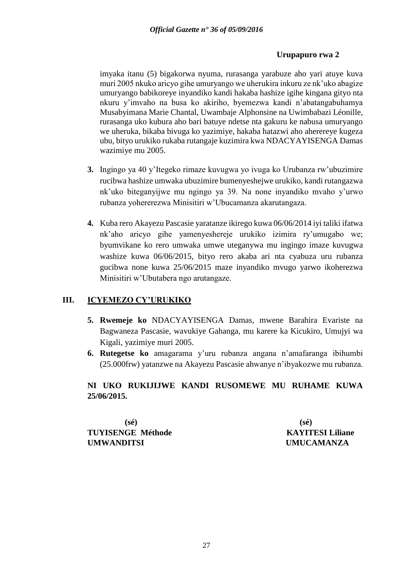# **Urupapuro rwa 2**

imyaka itanu (5) bigakorwa nyuma, rurasanga yarabuze aho yari atuye kuva muri 2005 nkuko aricyo gihe umuryango we uherukira inkuru ze nk'uko abagize umuryango babikoreye inyandiko kandi hakaba hashize igihe kingana gityo nta nkuru y'imvaho na busa ko akiriho, byemezwa kandi n'abatangabuhamya Musabyimana Marie Chantal, Uwambaje Alphonsine na Uwimbabazi Léonille, rurasanga uko kubura aho bari batuye ndetse nta gakuru ke nabusa umuryango we uheruka, bikaba bivuga ko yazimiye, hakaba hatazwi aho aherereye kugeza ubu, bityo urukiko rukaba rutangaje kuzimira kwa NDACYAYISENGA Damas wazimiye mu 2005.

- **3.** Ingingo ya 40 y'Itegeko rimaze kuvugwa yo ivuga ko Urubanza rw'ubuzimire rucibwa hashize umwaka ubuzimire bumenyeshejwe urukiko, kandi rutangazwa nk'uko biteganyijwe mu ngingo ya 39. Na none inyandiko mvaho y'urwo rubanza yohererezwa Minisitiri w'Ubucamanza akarutangaza.
- **4.** Kuba rero Akayezu Pascasie yaratanze ikirego kuwa 06/06/2014 iyi taliki ifatwa nk'aho aricyo gihe yamenyeshereje urukiko izimira ry'umugabo we; byumvikane ko rero umwaka umwe uteganywa mu ingingo imaze kuvugwa washize kuwa 06/06/2015, bityo rero akaba ari nta cyabuza uru rubanza gucibwa none kuwa 25/06/2015 maze inyandiko mvugo yarwo ikoherezwa Minisitiri w'Ubutabera ngo arutangaze.

# **III. ICYEMEZO CY'URUKIKO**

- **5. Rwemeje ko** NDACYAYISENGA Damas, mwene Barahira Evariste na Bagwaneza Pascasie, wavukiye Gahanga, mu karere ka Kicukiro, Umujyi wa Kigali, yazimiye muri 2005.
- **6. Rutegetse ko** amagarama y'uru rubanza angana n'amafaranga ibihumbi (25.000frw) yatanzwe na Akayezu Pascasie ahwanye n'ibyakozwe mu rubanza.

# **NI UKO RUKIJIJWE KANDI RUSOMEWE MU RUHAME KUWA 25/06/2015.**

**(sé) (sé) TUYISENGE Méthode KAYITESI Liliane UMWANDITSI UMUCAMANZA**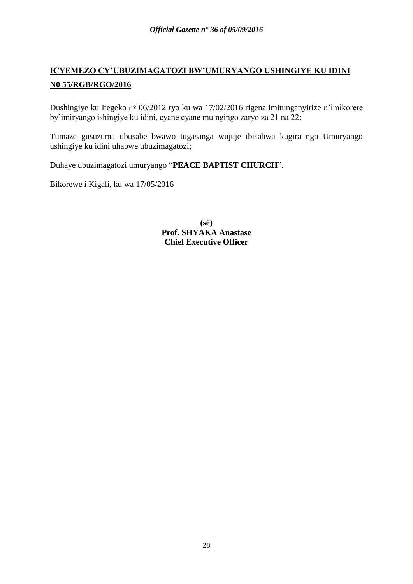# **ICYEMEZO CY'UBUZIMAGATOZI BW'UMURYANGO USHINGIYE KU IDINI N0 55/RGB/RGO/2016**

Dushingiye ku Itegeko nº 06/2012 ryo ku wa 17/02/2016 rigena imitunganyirize n'imikorere by'imiryango ishingiye ku idini, cyane cyane mu ngingo zaryo za 21 na 22;

Tumaze gusuzuma ubusabe bwawo tugasanga wujuje ibisabwa kugira ngo Umuryango ushingiye ku idini uhabwe ubuzimagatozi;

Duhaye ubuzimagatozi umuryango "**PEACE BAPTIST CHURCH**".

Bikorewe i Kigali, ku wa 17/05/2016

**(sé) Prof. SHYAKA Anastase Chief Executive Officer**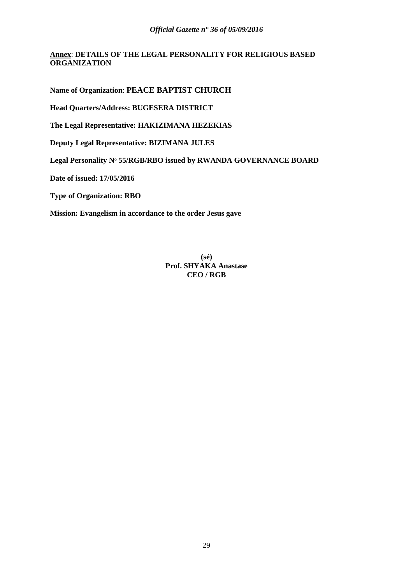#### **Annex**: **DETAILS OF THE LEGAL PERSONALITY FOR RELIGIOUS BASED ORGANIZATION**

**Name of Organization**: **PEACE BAPTIST CHURCH**

**Head Quarters/Address: BUGESERA DISTRICT** 

**The Legal Representative: HAKIZIMANA HEZEKIAS**

**Deputy Legal Representative: BIZIMANA JULES**

**Legal Personality Nᵒ 55/RGB/RBO issued by RWANDA GOVERNANCE BOARD**

**Date of issued: 17/05/2016**

**Type of Organization: RBO**

**Mission: Evangelism in accordance to the order Jesus gave**

**(sé) Prof. SHYAKA Anastase CEO / RGB**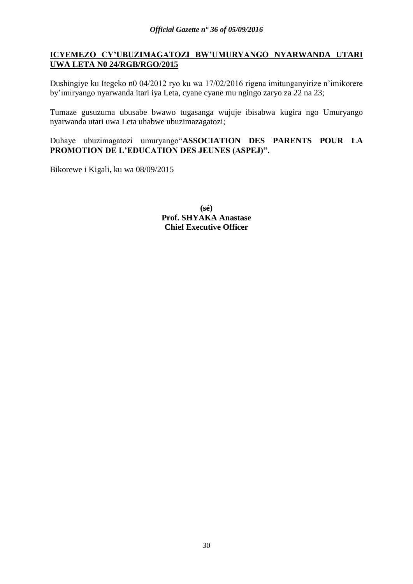# **ICYEMEZO CY'UBUZIMAGATOZI BW'UMURYANGO NYARWANDA UTARI UWA LETA N0 24/RGB/RGO/2015**

Dushingiye ku Itegeko n0 04/2012 ryo ku wa 17/02/2016 rigena imitunganyirize n'imikorere by'imiryango nyarwanda itari iya Leta, cyane cyane mu ngingo zaryo za 22 na 23;

Tumaze gusuzuma ubusabe bwawo tugasanga wujuje ibisabwa kugira ngo Umuryango nyarwanda utari uwa Leta uhabwe ubuzimazagatozi;

Duhaye ubuzimagatozi umuryango"**ASSOCIATION DES PARENTS POUR LA PROMOTION DE L'EDUCATION DES JEUNES (ASPEJ)".**

Bikorewe i Kigali, ku wa 08/09/2015

**(sé) Prof. SHYAKA Anastase Chief Executive Officer**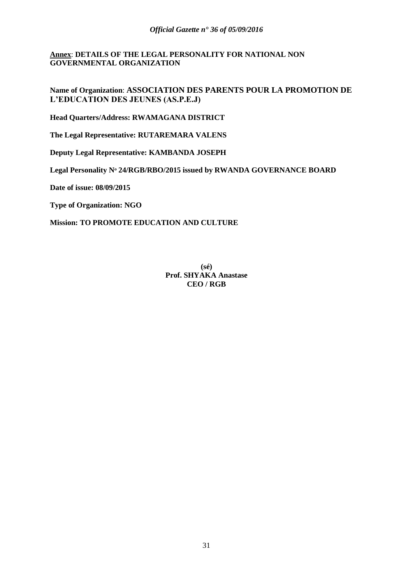#### **Annex**: **DETAILS OF THE LEGAL PERSONALITY FOR NATIONAL NON GOVERNMENTAL ORGANIZATION**

# **Name of Organization**: **ASSOCIATION DES PARENTS POUR LA PROMOTION DE L'EDUCATION DES JEUNES (AS.P.E.J)**

**Head Quarters/Address: RWAMAGANA DISTRICT** 

**The Legal Representative: RUTAREMARA VALENS**

**Deputy Legal Representative: KAMBANDA JOSEPH**

**Legal Personality Nᵒ 24/RGB/RBO/2015 issued by RWANDA GOVERNANCE BOARD**

**Date of issue: 08/09/2015**

**Type of Organization: NGO**

**Mission: TO PROMOTE EDUCATION AND CULTURE**

**(sé) Prof. SHYAKA Anastase CEO / RGB**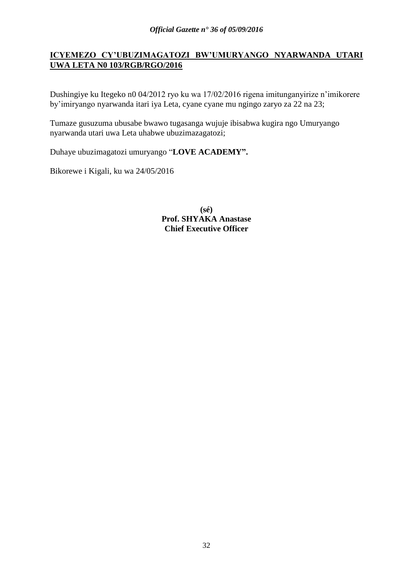# **ICYEMEZO CY'UBUZIMAGATOZI BW'UMURYANGO NYARWANDA UTARI UWA LETA N0 103/RGB/RGO/2016**

Dushingiye ku Itegeko n0 04/2012 ryo ku wa 17/02/2016 rigena imitunganyirize n'imikorere by'imiryango nyarwanda itari iya Leta, cyane cyane mu ngingo zaryo za 22 na 23;

Tumaze gusuzuma ubusabe bwawo tugasanga wujuje ibisabwa kugira ngo Umuryango nyarwanda utari uwa Leta uhabwe ubuzimazagatozi;

Duhaye ubuzimagatozi umuryango "**LOVE ACADEMY".**

Bikorewe i Kigali, ku wa 24/05/2016

**(sé) Prof. SHYAKA Anastase Chief Executive Officer**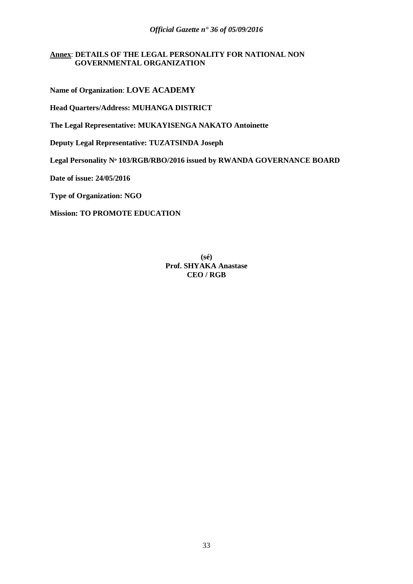#### **Annex**: **DETAILS OF THE LEGAL PERSONALITY FOR NATIONAL NON GOVERNMENTAL ORGANIZATION**

**Name of Organization**: **LOVE ACADEMY**

**Head Quarters/Address: MUHANGA DISTRICT** 

**The Legal Representative: MUKAYISENGA NAKATO Antoinette**

**Deputy Legal Representative: TUZATSINDA Joseph**

**Legal Personality Nᵒ 103/RGB/RBO/2016 issued by RWANDA GOVERNANCE BOARD**

**Date of issue: 24/05/2016**

**Type of Organization: NGO**

**Mission: TO PROMOTE EDUCATION** 

**(sé) Prof. SHYAKA Anastase CEO / RGB**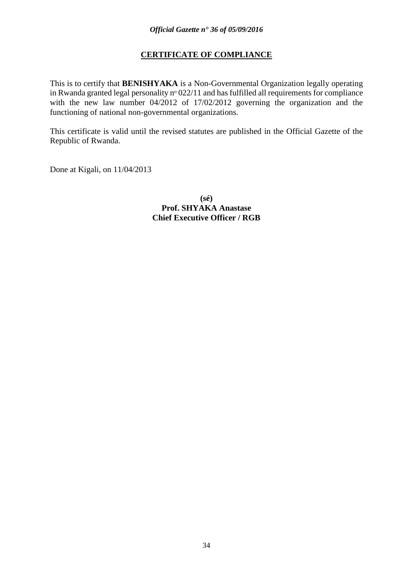# **CERTIFICATE OF COMPLIANCE**

This is to certify that **BENISHYAKA** is a Non-Governmental Organization legally operating in Rwanda granted legal personality  $n^{\circ}$  022/11 and has fulfilled all requirements for compliance with the new law number 04/2012 of 17/02/2012 governing the organization and the functioning of national non-governmental organizations.

This certificate is valid until the revised statutes are published in the Official Gazette of the Republic of Rwanda.

Done at Kigali, on 11/04/2013

**(sé) Prof. SHYAKA Anastase Chief Executive Officer / RGB**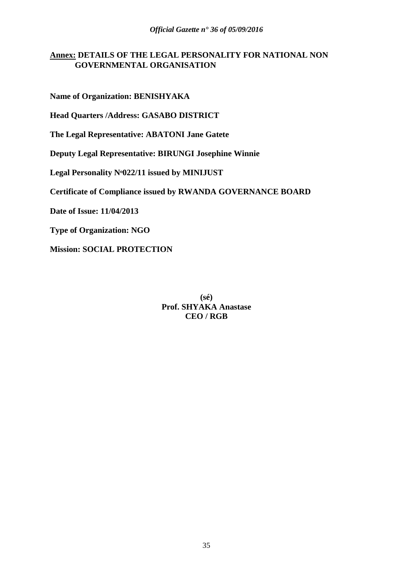# **Annex: DETAILS OF THE LEGAL PERSONALITY FOR NATIONAL NON GOVERNMENTAL ORGANISATION**

**Name of Organization: BENISHYAKA**

**Head Quarters /Address: GASABO DISTRICT** 

**The Legal Representative: ABATONI Jane Gatete**

**Deputy Legal Representative: BIRUNGI Josephine Winnie**

**Legal Personality Nᵒ022/11 issued by MINIJUST**

**Certificate of Compliance issued by RWANDA GOVERNANCE BOARD**

**Date of Issue: 11/04/2013**

**Type of Organization: NGO**

**Mission: SOCIAL PROTECTION**

**(sé) Prof. SHYAKA Anastase CEO / RGB**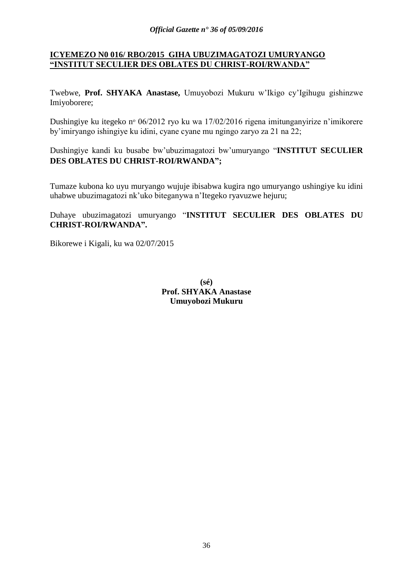# **ICYEMEZO N0 016/ RBO/2015 GIHA UBUZIMAGATOZI UMURYANGO "INSTITUT SECULIER DES OBLATES DU CHRIST-ROI/RWANDA"**

Twebwe, **Prof. SHYAKA Anastase,** Umuyobozi Mukuru w'Ikigo cy'Igihugu gishinzwe Imiyoborere;

Dushingiye ku itegeko nº 06/2012 ryo ku wa 17/02/2016 rigena imitunganyirize n'imikorere by'imiryango ishingiye ku idini, cyane cyane mu ngingo zaryo za 21 na 22;

Dushingiye kandi ku busabe bw'ubuzimagatozi bw'umuryango "**INSTITUT SECULIER DES OBLATES DU CHRIST-ROI/RWANDA";**

Tumaze kubona ko uyu muryango wujuje ibisabwa kugira ngo umuryango ushingiye ku idini uhabwe ubuzimagatozi nk'uko biteganywa n'Itegeko ryavuzwe hejuru;

# Duhaye ubuzimagatozi umuryango "**INSTITUT SECULIER DES OBLATES DU CHRIST-ROI/RWANDA".**

Bikorewe i Kigali, ku wa 02/07/2015

**(sé) Prof. SHYAKA Anastase Umuyobozi Mukuru**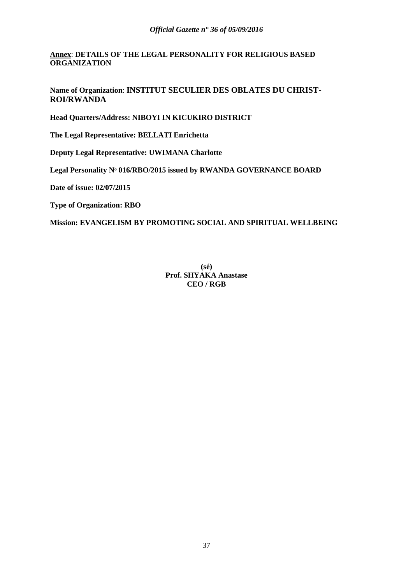**Annex**: **DETAILS OF THE LEGAL PERSONALITY FOR RELIGIOUS BASED ORGANIZATION**

**Name of Organization**: **INSTITUT SECULIER DES OBLATES DU CHRIST-ROI/RWANDA**

**Head Quarters/Address: NIBOYI IN KICUKIRO DISTRICT** 

**The Legal Representative: BELLATI Enrichetta**

**Deputy Legal Representative: UWIMANA Charlotte**

**Legal Personality Nᵒ 016/RBO/2015 issued by RWANDA GOVERNANCE BOARD**

**Date of issue: 02/07/2015**

**Type of Organization: RBO**

**Mission: EVANGELISM BY PROMOTING SOCIAL AND SPIRITUAL WELLBEING**

**(sé) Prof. SHYAKA Anastase CEO / RGB**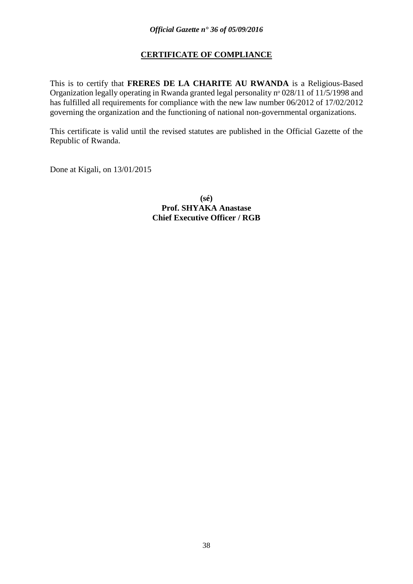# **CERTIFICATE OF COMPLIANCE**

This is to certify that **FRERES DE LA CHARITE AU RWANDA** is a Religious-Based Organization legally operating in Rwanda granted legal personality nº 028/11 of 11/5/1998 and has fulfilled all requirements for compliance with the new law number 06/2012 of 17/02/2012 governing the organization and the functioning of national non-governmental organizations.

This certificate is valid until the revised statutes are published in the Official Gazette of the Republic of Rwanda.

Done at Kigali, on 13/01/2015

**(sé) Prof. SHYAKA Anastase Chief Executive Officer / RGB**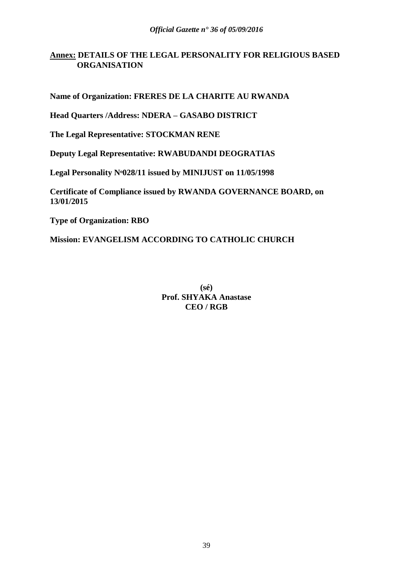# **Annex: DETAILS OF THE LEGAL PERSONALITY FOR RELIGIOUS BASED ORGANISATION**

**Name of Organization: FRERES DE LA CHARITE AU RWANDA**

**Head Quarters /Address: NDERA – GASABO DISTRICT**

**The Legal Representative: STOCKMAN RENE**

**Deputy Legal Representative: RWABUDANDI DEOGRATIAS**

**Legal Personality Nᵒ028/11 issued by MINIJUST on 11/05/1998**

**Certificate of Compliance issued by RWANDA GOVERNANCE BOARD, on 13/01/2015**

**Type of Organization: RBO**

**Mission: EVANGELISM ACCORDING TO CATHOLIC CHURCH**

**(sé) Prof. SHYAKA Anastase CEO / RGB**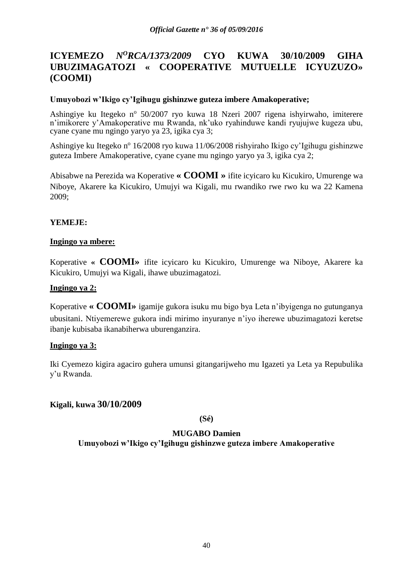# **ICYEMEZO** *N<sup>O</sup>RCA/1373/2009* **CYO KUWA 30/10/2009 GIHA UBUZIMAGATOZI « COOPERATIVE MUTUELLE ICYUZUZO» (COOMI)**

### **Umuyobozi w'Ikigo cy'Igihugu gishinzwe guteza imbere Amakoperative;**

Ashingiye ku Itegeko nº 50/2007 ryo kuwa 18 Nzeri 2007 rigena ishyirwaho, imiterere n'imikorere y'Amakoperative mu Rwanda, nk'uko ryahinduwe kandi ryujujwe kugeza ubu, cyane cyane mu ngingo yaryo ya 23, igika cya 3;

Ashingiye ku Itegeko nº 16/2008 ryo kuwa 11/06/2008 rishyiraho Ikigo cy'Igihugu gishinzwe guteza Imbere Amakoperative, cyane cyane mu ngingo yaryo ya 3, igika cya 2;

Abisabwe na Perezida wa Koperative **« COOMI »** ifite icyicaro ku Kicukiro, Umurenge wa Niboye, Akarere ka Kicukiro, Umujyi wa Kigali, mu rwandiko rwe rwo ku wa 22 Kamena 2009;

### **YEMEJE:**

#### **Ingingo ya mbere:**

Koperative **« COOMI»** ifite icyicaro ku Kicukiro, Umurenge wa Niboye, Akarere ka Kicukiro, Umujyi wa Kigali, ihawe ubuzimagatozi.

#### **Ingingo ya 2:**

Koperative **« COOMI»** igamije gukora isuku mu bigo bya Leta n'ibyigenga no gutunganya ubusitani. Ntiyemerewe gukora indi mirimo inyuranye n'iyo iherewe ubuzimagatozi keretse ibanje kubisaba ikanabiherwa uburenganzira.

#### **Ingingo ya 3:**

Iki Cyemezo kigira agaciro guhera umunsi gitangarijweho mu Igazeti ya Leta ya Repubulika y'u Rwanda.

# **Kigali, kuwa 30/10/2009**

**(Sé)**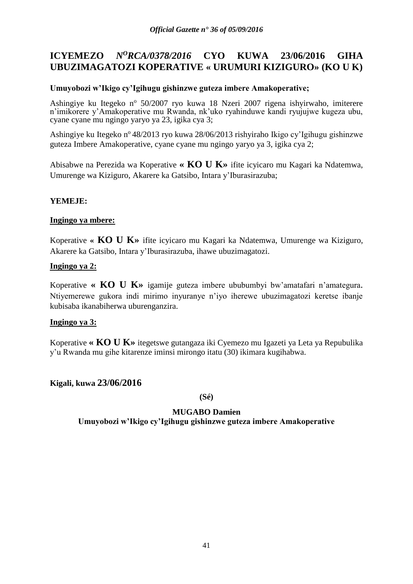# **ICYEMEZO** *N<sup>O</sup>RCA/0378/2016* **CYO KUWA 23/06/2016 GIHA UBUZIMAGATOZI KOPERATIVE « URUMURI KIZIGURO» (KO U K)**

### **Umuyobozi w'Ikigo cy'Igihugu gishinzwe guteza imbere Amakoperative;**

Ashingiye ku Itegeko nº 50/2007 ryo kuwa 18 Nzeri 2007 rigena ishyirwaho, imiterere n'imikorere y'Amakoperative mu Rwanda, nk'uko ryahinduwe kandi ryujujwe kugeza ubu, cyane cyane mu ngingo yaryo ya 23, igika cya 3;

Ashingiye ku Itegeko n<sup>o</sup> 48/2013 ryo kuwa 28/06/2013 rishyiraho Ikigo cy'Igihugu gishinzwe guteza Imbere Amakoperative, cyane cyane mu ngingo yaryo ya 3, igika cya 2;

Abisabwe na Perezida wa Koperative **« KO U K»** ifite icyicaro mu Kagari ka Ndatemwa, Umurenge wa Kiziguro, Akarere ka Gatsibo, Intara y'Iburasirazuba;

# **YEMEJE:**

#### **Ingingo ya mbere:**

Koperative **« KO U K»** ifite icyicaro mu Kagari ka Ndatemwa, Umurenge wa Kiziguro, Akarere ka Gatsibo, Intara y'Iburasirazuba, ihawe ubuzimagatozi.

### **Ingingo ya 2:**

Koperative **« KO U K»** igamije guteza imbere ububumbyi bw'amatafari n'amategura. Ntiyemerewe gukora indi mirimo inyuranye n'iyo iherewe ubuzimagatozi keretse ibanje kubisaba ikanabiherwa uburenganzira.

#### **Ingingo ya 3:**

Koperative **« KO U K»** itegetswe gutangaza iki Cyemezo mu Igazeti ya Leta ya Repubulika y'u Rwanda mu gihe kitarenze iminsi mirongo itatu (30) ikimara kugihabwa.

# **Kigali, kuwa 23/06/2016**

**(Sé)**

# **MUGABO Damien**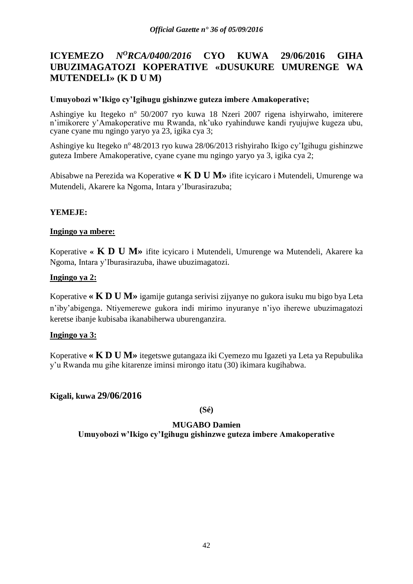# **ICYEMEZO** *N<sup>O</sup>RCA/0400/2016* **CYO KUWA 29/06/2016 GIHA UBUZIMAGATOZI KOPERATIVE «DUSUKURE UMURENGE WA MUTENDELI» (K D U M)**

### **Umuyobozi w'Ikigo cy'Igihugu gishinzwe guteza imbere Amakoperative;**

Ashingiye ku Itegeko nº 50/2007 ryo kuwa 18 Nzeri 2007 rigena ishyirwaho, imiterere n'imikorere y'Amakoperative mu Rwanda, nk'uko ryahinduwe kandi ryujujwe kugeza ubu, cyane cyane mu ngingo yaryo ya 23, igika cya 3;

Ashingiye ku Itegeko nº 48/2013 ryo kuwa 28/06/2013 rishyiraho Ikigo cy'Igihugu gishinzwe guteza Imbere Amakoperative, cyane cyane mu ngingo yaryo ya 3, igika cya 2;

Abisabwe na Perezida wa Koperative **« K D U M»** ifite icyicaro i Mutendeli, Umurenge wa Mutendeli, Akarere ka Ngoma, Intara y'Iburasirazuba;

### **YEMEJE:**

### **Ingingo ya mbere:**

Koperative **« K D U M»** ifite icyicaro i Mutendeli, Umurenge wa Mutendeli, Akarere ka Ngoma, Intara y'Iburasirazuba, ihawe ubuzimagatozi.

### **Ingingo ya 2:**

Koperative **« K D U M»** igamije gutanga serivisi zijyanye no gukora isuku mu bigo bya Leta n'iby'abigenga. Ntiyemerewe gukora indi mirimo inyuranye n'iyo iherewe ubuzimagatozi keretse ibanje kubisaba ikanabiherwa uburenganzira.

#### **Ingingo ya 3:**

Koperative **« K D U M»** itegetswe gutangaza iki Cyemezo mu Igazeti ya Leta ya Repubulika y'u Rwanda mu gihe kitarenze iminsi mirongo itatu (30) ikimara kugihabwa.

# **Kigali, kuwa 29/06/2016**

**(Sé)**

# **MUGABO Damien**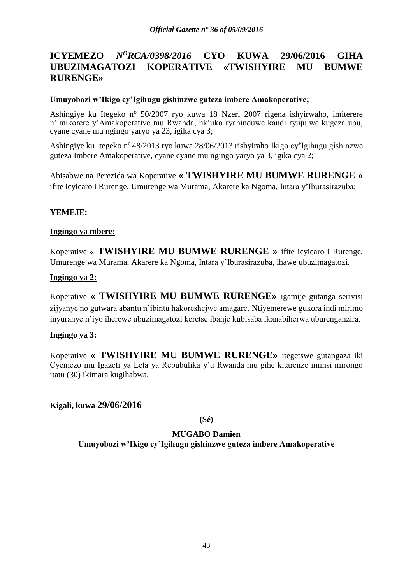# **ICYEMEZO** *N<sup>O</sup>RCA/0398/2016* **CYO KUWA 29/06/2016 GIHA UBUZIMAGATOZI KOPERATIVE «TWISHYIRE MU BUMWE RURENGE»**

### **Umuyobozi w'Ikigo cy'Igihugu gishinzwe guteza imbere Amakoperative;**

Ashingiye ku Itegeko nº 50/2007 ryo kuwa 18 Nzeri 2007 rigena ishyirwaho, imiterere n'imikorere y'Amakoperative mu Rwanda, nk'uko ryahinduwe kandi ryujujwe kugeza ubu, cyane cyane mu ngingo yaryo ya 23, igika cya 3;

Ashingiye ku Itegeko n<sup>o</sup> 48/2013 ryo kuwa 28/06/2013 rishyiraho Ikigo cy'Igihugu gishinzwe guteza Imbere Amakoperative, cyane cyane mu ngingo yaryo ya 3, igika cya 2;

Abisabwe na Perezida wa Koperative **« TWISHYIRE MU BUMWE RURENGE »**  ifite icyicaro i Rurenge, Umurenge wa Murama, Akarere ka Ngoma, Intara y'Iburasirazuba;

### **YEMEJE:**

### **Ingingo ya mbere:**

Koperative **« TWISHYIRE MU BUMWE RURENGE »** ifite icyicaro i Rurenge, Umurenge wa Murama, Akarere ka Ngoma, Intara y'Iburasirazuba, ihawe ubuzimagatozi.

### **Ingingo ya 2:**

Koperative **« TWISHYIRE MU BUMWE RURENGE»** igamije gutanga serivisi zijyanye no gutwara abantu n'ibintu hakoreshejwe amagare. Ntiyemerewe gukora indi mirimo inyuranye n'iyo iherewe ubuzimagatozi keretse ibanje kubisaba ikanabiherwa uburenganzira.

#### **Ingingo ya 3:**

Koperative **« TWISHYIRE MU BUMWE RURENGE»** itegetswe gutangaza iki Cyemezo mu Igazeti ya Leta ya Repubulika y'u Rwanda mu gihe kitarenze iminsi mirongo itatu (30) ikimara kugihabwa.

# **Kigali, kuwa 29/06/2016**

**(Sé)**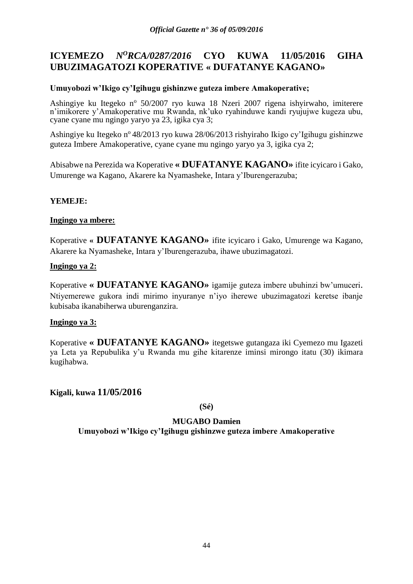# **ICYEMEZO** *N<sup>O</sup>RCA/0287/2016* **CYO KUWA 11/05/2016 GIHA UBUZIMAGATOZI KOPERATIVE « DUFATANYE KAGANO»**

# **Umuyobozi w'Ikigo cy'Igihugu gishinzwe guteza imbere Amakoperative;**

Ashingiye ku Itegeko nº 50/2007 ryo kuwa 18 Nzeri 2007 rigena ishyirwaho, imiterere n'imikorere y'Amakoperative mu Rwanda, nk'uko ryahinduwe kandi ryujujwe kugeza ubu, cyane cyane mu ngingo yaryo ya 23, igika cya 3;

Ashingiye ku Itegeko n<sup>o</sup> 48/2013 ryo kuwa 28/06/2013 rishyiraho Ikigo cy'Igihugu gishinzwe guteza Imbere Amakoperative, cyane cyane mu ngingo yaryo ya 3, igika cya 2;

Abisabwe na Perezida wa Koperative **« DUFATANYE KAGANO»** ifite icyicaro i Gako, Umurenge wa Kagano, Akarere ka Nyamasheke, Intara y'Iburengerazuba;

# **YEMEJE:**

### **Ingingo ya mbere:**

Koperative **« DUFATANYE KAGANO»** ifite icyicaro i Gako, Umurenge wa Kagano, Akarere ka Nyamasheke, Intara y'Iburengerazuba, ihawe ubuzimagatozi.

### **Ingingo ya 2:**

Koperative **« DUFATANYE KAGANO»** igamije guteza imbere ubuhinzi bw'umuceri. Ntiyemerewe gukora indi mirimo inyuranye n'iyo iherewe ubuzimagatozi keretse ibanje kubisaba ikanabiherwa uburenganzira.

#### **Ingingo ya 3:**

Koperative **« DUFATANYE KAGANO»** itegetswe gutangaza iki Cyemezo mu Igazeti ya Leta ya Repubulika y'u Rwanda mu gihe kitarenze iminsi mirongo itatu (30) ikimara kugihabwa.

**Kigali, kuwa 11/05/2016**

**(Sé)**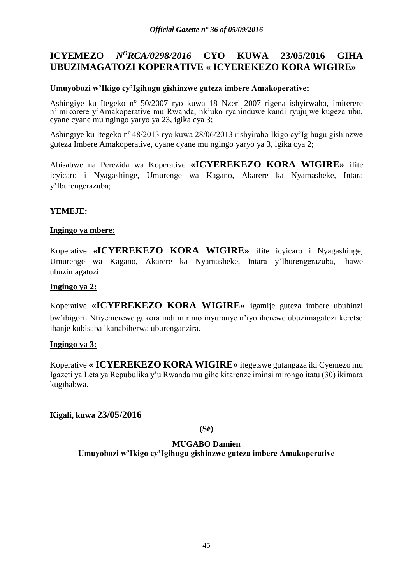# **ICYEMEZO** *N<sup>O</sup>RCA/0298/2016* **CYO KUWA 23/05/2016 GIHA UBUZIMAGATOZI KOPERATIVE « ICYEREKEZO KORA WIGIRE»**

### **Umuyobozi w'Ikigo cy'Igihugu gishinzwe guteza imbere Amakoperative;**

Ashingiye ku Itegeko nº 50/2007 ryo kuwa 18 Nzeri 2007 rigena ishyirwaho, imiterere n'imikorere y'Amakoperative mu Rwanda, nk'uko ryahinduwe kandi ryujujwe kugeza ubu, cyane cyane mu ngingo yaryo ya 23, igika cya 3;

Ashingiye ku Itegeko n<sup>o</sup> 48/2013 ryo kuwa 28/06/2013 rishyiraho Ikigo cy'Igihugu gishinzwe guteza Imbere Amakoperative, cyane cyane mu ngingo yaryo ya 3, igika cya 2;

Abisabwe na Perezida wa Koperative **«ICYEREKEZO KORA WIGIRE»** ifite icyicaro i Nyagashinge, Umurenge wa Kagano, Akarere ka Nyamasheke, Intara y'Iburengerazuba;

# **YEMEJE:**

### **Ingingo ya mbere:**

Koperative **«ICYEREKEZO KORA WIGIRE»** ifite icyicaro i Nyagashinge, Umurenge wa Kagano, Akarere ka Nyamasheke, Intara y'Iburengerazuba, ihawe ubuzimagatozi.

#### **Ingingo ya 2:**

Koperative **«ICYEREKEZO KORA WIGIRE»** igamije guteza imbere ubuhinzi bw'ibigori. Ntiyemerewe gukora indi mirimo inyuranye n'iyo iherewe ubuzimagatozi keretse ibanje kubisaba ikanabiherwa uburenganzira.

#### **Ingingo ya 3:**

Koperative **« ICYEREKEZO KORA WIGIRE»** itegetswe gutangaza iki Cyemezo mu Igazeti ya Leta ya Repubulika y'u Rwanda mu gihe kitarenze iminsi mirongo itatu (30) ikimara kugihabwa.

# **Kigali, kuwa 23/05/2016**

**(Sé)**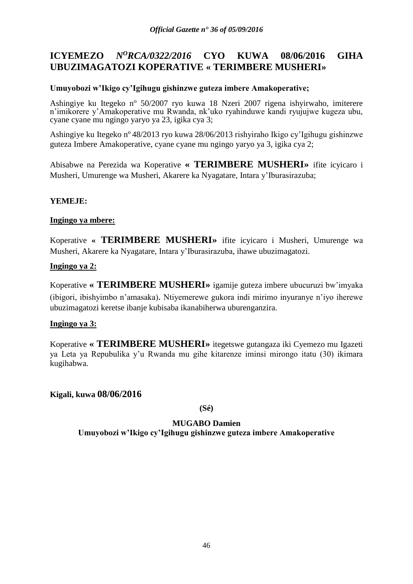# **ICYEMEZO** *N<sup>O</sup>RCA/0322/2016* **CYO KUWA 08/06/2016 GIHA UBUZIMAGATOZI KOPERATIVE « TERIMBERE MUSHERI»**

### **Umuyobozi w'Ikigo cy'Igihugu gishinzwe guteza imbere Amakoperative;**

Ashingiye ku Itegeko nº 50/2007 ryo kuwa 18 Nzeri 2007 rigena ishyirwaho, imiterere n'imikorere y'Amakoperative mu Rwanda, nk'uko ryahinduwe kandi ryujujwe kugeza ubu, cyane cyane mu ngingo yaryo ya 23, igika cya 3;

Ashingiye ku Itegeko n<sup>o</sup> 48/2013 ryo kuwa 28/06/2013 rishyiraho Ikigo cy'Igihugu gishinzwe guteza Imbere Amakoperative, cyane cyane mu ngingo yaryo ya 3, igika cya 2;

Abisabwe na Perezida wa Koperative **« TERIMBERE MUSHERI»** ifite icyicaro i Musheri, Umurenge wa Musheri, Akarere ka Nyagatare, Intara y'Iburasirazuba;

# **YEMEJE:**

### **Ingingo ya mbere:**

Koperative **« TERIMBERE MUSHERI»** ifite icyicaro i Musheri, Umurenge wa Musheri, Akarere ka Nyagatare, Intara y'Iburasirazuba, ihawe ubuzimagatozi.

### **Ingingo ya 2:**

Koperative **« TERIMBERE MUSHERI»** igamije guteza imbere ubucuruzi bw'imyaka (ibigori, ibishyimbo n'amasaka). Ntiyemerewe gukora indi mirimo inyuranye n'iyo iherewe ubuzimagatozi keretse ibanje kubisaba ikanabiherwa uburenganzira.

#### **Ingingo ya 3:**

Koperative **« TERIMBERE MUSHERI»** itegetswe gutangaza iki Cyemezo mu Igazeti ya Leta ya Repubulika y'u Rwanda mu gihe kitarenze iminsi mirongo itatu (30) ikimara kugihabwa.

**Kigali, kuwa 08/06/2016**

**(Sé)**

# **MUGABO Damien**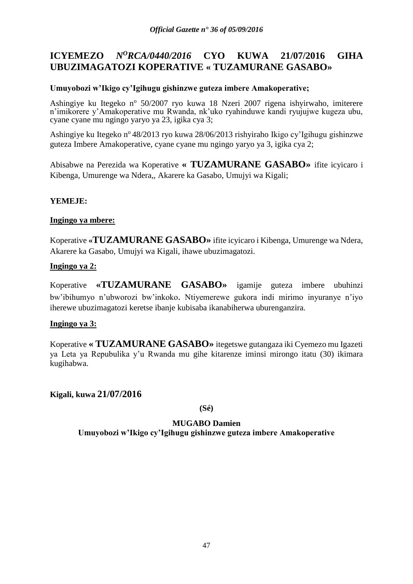# **ICYEMEZO** *N<sup>O</sup>RCA/0440/2016* **CYO KUWA 21/07/2016 GIHA UBUZIMAGATOZI KOPERATIVE « TUZAMURANE GASABO»**

# **Umuyobozi w'Ikigo cy'Igihugu gishinzwe guteza imbere Amakoperative;**

Ashingiye ku Itegeko nº 50/2007 ryo kuwa 18 Nzeri 2007 rigena ishyirwaho, imiterere n'imikorere y'Amakoperative mu Rwanda, nk'uko ryahinduwe kandi ryujujwe kugeza ubu, cyane cyane mu ngingo yaryo ya 23, igika cya 3;

Ashingiye ku Itegeko n<sup>o</sup> 48/2013 ryo kuwa 28/06/2013 rishyiraho Ikigo cy'Igihugu gishinzwe guteza Imbere Amakoperative, cyane cyane mu ngingo yaryo ya 3, igika cya 2;

Abisabwe na Perezida wa Koperative **« TUZAMURANE GASABO»** ifite icyicaro i Kibenga, Umurenge wa Ndera,, Akarere ka Gasabo, Umujyi wa Kigali;

### **YEMEJE:**

### **Ingingo ya mbere:**

Koperative **«TUZAMURANE GASABO»** ifite icyicaro i Kibenga, Umurenge wa Ndera, Akarere ka Gasabo, Umujyi wa Kigali, ihawe ubuzimagatozi.

### **Ingingo ya 2:**

Koperative **«TUZAMURANE GASABO»** igamije guteza imbere ubuhinzi bw'ibihumyo n'ubworozi bw'inkoko. Ntiyemerewe gukora indi mirimo inyuranye n'iyo iherewe ubuzimagatozi keretse ibanje kubisaba ikanabiherwa uburenganzira.

#### **Ingingo ya 3:**

Koperative **« TUZAMURANE GASABO»** itegetswe gutangaza iki Cyemezo mu Igazeti ya Leta ya Repubulika y'u Rwanda mu gihe kitarenze iminsi mirongo itatu (30) ikimara kugihabwa.

**Kigali, kuwa 21/07/2016**

**(Sé)**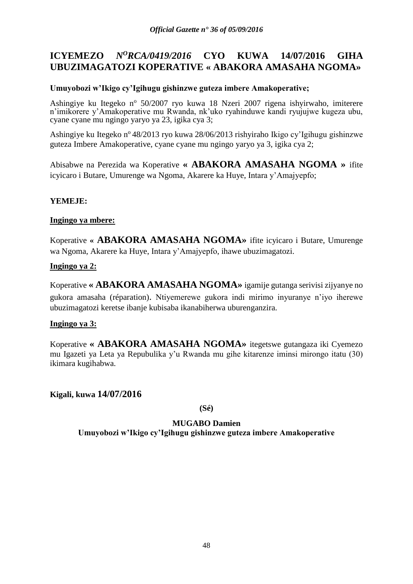# **ICYEMEZO** *N<sup>O</sup>RCA/0419/2016* **CYO KUWA 14/07/2016 GIHA UBUZIMAGATOZI KOPERATIVE « ABAKORA AMASAHA NGOMA»**

# **Umuyobozi w'Ikigo cy'Igihugu gishinzwe guteza imbere Amakoperative;**

Ashingiye ku Itegeko nº 50/2007 ryo kuwa 18 Nzeri 2007 rigena ishyirwaho, imiterere n'imikorere y'Amakoperative mu Rwanda, nk'uko ryahinduwe kandi ryujujwe kugeza ubu, cyane cyane mu ngingo yaryo ya 23, igika cya 3;

Ashingiye ku Itegeko n<sup>o</sup> 48/2013 ryo kuwa 28/06/2013 rishyiraho Ikigo cy'Igihugu gishinzwe guteza Imbere Amakoperative, cyane cyane mu ngingo yaryo ya 3, igika cya 2;

Abisabwe na Perezida wa Koperative **« ABAKORA AMASAHA NGOMA »** ifite icyicaro i Butare, Umurenge wa Ngoma, Akarere ka Huye, Intara y'Amajyepfo;

# **YEMEJE:**

### **Ingingo ya mbere:**

Koperative **« ABAKORA AMASAHA NGOMA»** ifite icyicaro i Butare, Umurenge wa Ngoma, Akarere ka Huye, Intara y'Amajyepfo, ihawe ubuzimagatozi.

### **Ingingo ya 2:**

Koperative **« ABAKORA AMASAHA NGOMA»** igamije gutanga serivisi zijyanye no gukora amasaha (réparation). Ntiyemerewe gukora indi mirimo inyuranye n'iyo iherewe ubuzimagatozi keretse ibanje kubisaba ikanabiherwa uburenganzira.

#### **Ingingo ya 3:**

Koperative **« ABAKORA AMASAHA NGOMA»** itegetswe gutangaza iki Cyemezo mu Igazeti ya Leta ya Repubulika y'u Rwanda mu gihe kitarenze iminsi mirongo itatu (30) ikimara kugihabwa.

**Kigali, kuwa 14/07/2016**

**(Sé)**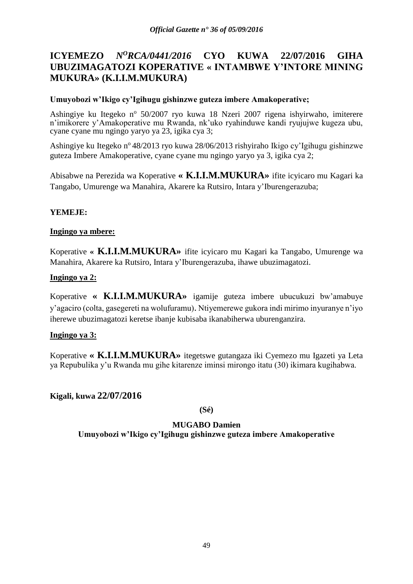# **ICYEMEZO** *N<sup>O</sup>RCA/0441/2016* **CYO KUWA 22/07/2016 GIHA UBUZIMAGATOZI KOPERATIVE « INTAMBWE Y'INTORE MINING MUKURA» (K.I.I.M.MUKURA)**

# **Umuyobozi w'Ikigo cy'Igihugu gishinzwe guteza imbere Amakoperative;**

Ashingiye ku Itegeko nº 50/2007 ryo kuwa 18 Nzeri 2007 rigena ishyirwaho, imiterere n'imikorere y'Amakoperative mu Rwanda, nk'uko ryahinduwe kandi ryujujwe kugeza ubu, cyane cyane mu ngingo yaryo ya 23, igika cya 3;

Ashingiye ku Itegeko n<sup>o</sup> 48/2013 ryo kuwa 28/06/2013 rishyiraho Ikigo cy'Igihugu gishinzwe guteza Imbere Amakoperative, cyane cyane mu ngingo yaryo ya 3, igika cya 2;

Abisabwe na Perezida wa Koperative **« K.I.I.M.MUKURA»** ifite icyicaro mu Kagari ka Tangabo, Umurenge wa Manahira, Akarere ka Rutsiro, Intara y'Iburengerazuba;

# **YEMEJE:**

# **Ingingo ya mbere:**

Koperative **« K.I.I.M.MUKURA»** ifite icyicaro mu Kagari ka Tangabo, Umurenge wa Manahira, Akarere ka Rutsiro, Intara y'Iburengerazuba, ihawe ubuzimagatozi.

# **Ingingo ya 2:**

Koperative **« K.I.I.M.MUKURA»** igamije guteza imbere ubucukuzi bw'amabuye y'agaciro (colta, gasegereti na wolufuramu). Ntiyemerewe gukora indi mirimo inyuranye n'iyo iherewe ubuzimagatozi keretse ibanje kubisaba ikanabiherwa uburenganzira.

# **Ingingo ya 3:**

Koperative **« K.I.I.M.MUKURA»** itegetswe gutangaza iki Cyemezo mu Igazeti ya Leta ya Repubulika y'u Rwanda mu gihe kitarenze iminsi mirongo itatu (30) ikimara kugihabwa.

# **Kigali, kuwa 22/07/2016**

**(Sé)**

# **MUGABO Damien**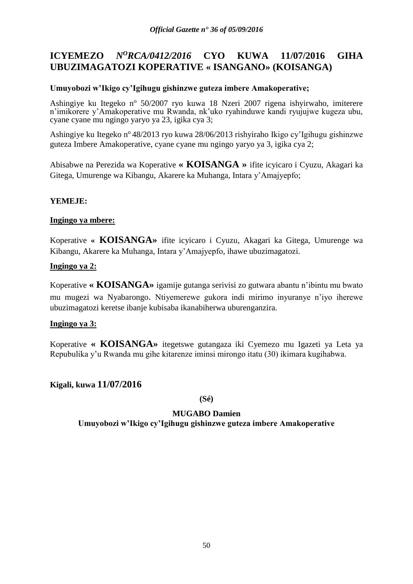# **ICYEMEZO** *N<sup>O</sup>RCA/0412/2016* **CYO KUWA 11/07/2016 GIHA UBUZIMAGATOZI KOPERATIVE « ISANGANO» (KOISANGA)**

### **Umuyobozi w'Ikigo cy'Igihugu gishinzwe guteza imbere Amakoperative;**

Ashingiye ku Itegeko nº 50/2007 ryo kuwa 18 Nzeri 2007 rigena ishyirwaho, imiterere n'imikorere y'Amakoperative mu Rwanda, nk'uko ryahinduwe kandi ryujujwe kugeza ubu, cyane cyane mu ngingo yaryo ya 23, igika cya 3;

Ashingiye ku Itegeko n<sup>o</sup> 48/2013 ryo kuwa 28/06/2013 rishyiraho Ikigo cy'Igihugu gishinzwe guteza Imbere Amakoperative, cyane cyane mu ngingo yaryo ya 3, igika cya 2;

Abisabwe na Perezida wa Koperative **« KOISANGA »** ifite icyicaro i Cyuzu, Akagari ka Gitega, Umurenge wa Kibangu, Akarere ka Muhanga, Intara y'Amajyepfo;

### **YEMEJE:**

#### **Ingingo ya mbere:**

Koperative **« KOISANGA»** ifite icyicaro i Cyuzu, Akagari ka Gitega, Umurenge wa Kibangu, Akarere ka Muhanga, Intara y'Amajyepfo, ihawe ubuzimagatozi.

### **Ingingo ya 2:**

Koperative **« KOISANGA»** igamije gutanga serivisi zo gutwara abantu n'ibintu mu bwato mu mugezi wa Nyabarongo. Ntiyemerewe gukora indi mirimo inyuranye n'iyo iherewe ubuzimagatozi keretse ibanje kubisaba ikanabiherwa uburenganzira.

#### **Ingingo ya 3:**

Koperative **« KOISANGA»** itegetswe gutangaza iki Cyemezo mu Igazeti ya Leta ya Repubulika y'u Rwanda mu gihe kitarenze iminsi mirongo itatu (30) ikimara kugihabwa.

# **Kigali, kuwa 11/07/2016**

**(Sé)**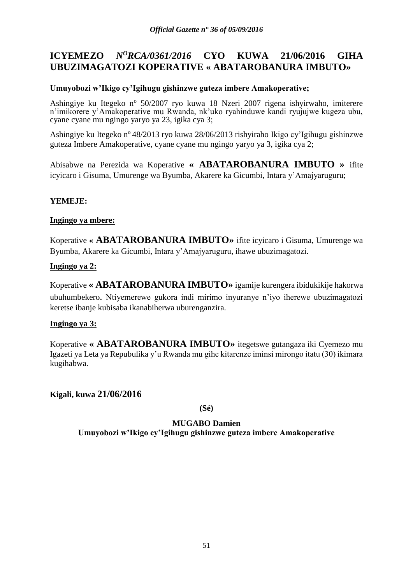# **ICYEMEZO** *N<sup>O</sup>RCA/0361/2016* **CYO KUWA 21/06/2016 GIHA UBUZIMAGATOZI KOPERATIVE « ABATAROBANURA IMBUTO»**

# **Umuyobozi w'Ikigo cy'Igihugu gishinzwe guteza imbere Amakoperative;**

Ashingiye ku Itegeko nº 50/2007 ryo kuwa 18 Nzeri 2007 rigena ishyirwaho, imiterere n'imikorere y'Amakoperative mu Rwanda, nk'uko ryahinduwe kandi ryujujwe kugeza ubu, cyane cyane mu ngingo yaryo ya 23, igika cya 3;

Ashingiye ku Itegeko n<sup>o</sup> 48/2013 ryo kuwa 28/06/2013 rishyiraho Ikigo cy'Igihugu gishinzwe guteza Imbere Amakoperative, cyane cyane mu ngingo yaryo ya 3, igika cya 2;

Abisabwe na Perezida wa Koperative **« ABATAROBANURA IMBUTO »** ifite icyicaro i Gisuma, Umurenge wa Byumba, Akarere ka Gicumbi, Intara y'Amajyaruguru;

# **YEMEJE:**

### **Ingingo ya mbere:**

Koperative **« ABATAROBANURA IMBUTO»** ifite icyicaro i Gisuma, Umurenge wa Byumba, Akarere ka Gicumbi, Intara y'Amajyaruguru, ihawe ubuzimagatozi.

### **Ingingo ya 2:**

Koperative **« ABATAROBANURA IMBUTO»** igamije kurengera ibidukikije hakorwa ubuhumbekero. Ntiyemerewe gukora indi mirimo inyuranye n'iyo iherewe ubuzimagatozi keretse ibanje kubisaba ikanabiherwa uburenganzira.

#### **Ingingo ya 3:**

Koperative **« ABATAROBANURA IMBUTO»** itegetswe gutangaza iki Cyemezo mu Igazeti ya Leta ya Repubulika y'u Rwanda mu gihe kitarenze iminsi mirongo itatu (30) ikimara kugihabwa.

**Kigali, kuwa 21/06/2016**

**(Sé)**

# **MUGABO Damien**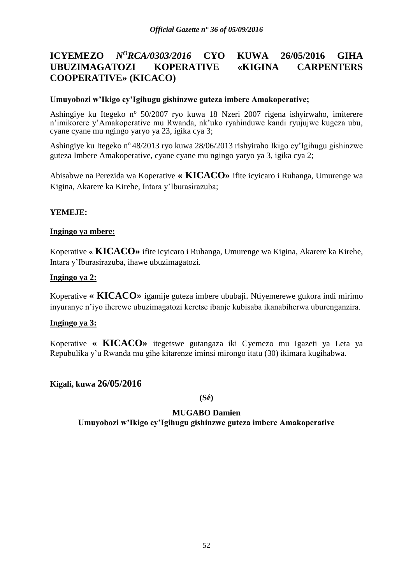# **ICYEMEZO** *N<sup>O</sup>RCA/0303/2016* **CYO KUWA 26/05/2016 GIHA UBUZIMAGATOZI KOPERATIVE «KIGINA CARPENTERS COOPERATIVE» (KICACO)**

### **Umuyobozi w'Ikigo cy'Igihugu gishinzwe guteza imbere Amakoperative;**

Ashingiye ku Itegeko nº 50/2007 ryo kuwa 18 Nzeri 2007 rigena ishyirwaho, imiterere n'imikorere y'Amakoperative mu Rwanda, nk'uko ryahinduwe kandi ryujujwe kugeza ubu, cyane cyane mu ngingo yaryo ya 23, igika cya 3;

Ashingiye ku Itegeko nº 48/2013 ryo kuwa 28/06/2013 rishyiraho Ikigo cy'Igihugu gishinzwe guteza Imbere Amakoperative, cyane cyane mu ngingo yaryo ya 3, igika cya 2;

Abisabwe na Perezida wa Koperative **« KICACO»** ifite icyicaro i Ruhanga, Umurenge wa Kigina, Akarere ka Kirehe, Intara y'Iburasirazuba;

### **YEMEJE:**

### **Ingingo ya mbere:**

Koperative **« KICACO»** ifite icyicaro i Ruhanga, Umurenge wa Kigina, Akarere ka Kirehe, Intara y'Iburasirazuba, ihawe ubuzimagatozi.

#### **Ingingo ya 2:**

Koperative **« KICACO»** igamije guteza imbere ububaji. Ntiyemerewe gukora indi mirimo inyuranye n'iyo iherewe ubuzimagatozi keretse ibanje kubisaba ikanabiherwa uburenganzira.

#### **Ingingo ya 3:**

Koperative **« KICACO»** itegetswe gutangaza iki Cyemezo mu Igazeti ya Leta ya Repubulika y'u Rwanda mu gihe kitarenze iminsi mirongo itatu (30) ikimara kugihabwa.

#### **Kigali, kuwa 26/05/2016**

**(Sé)**

#### **MUGABO Damien**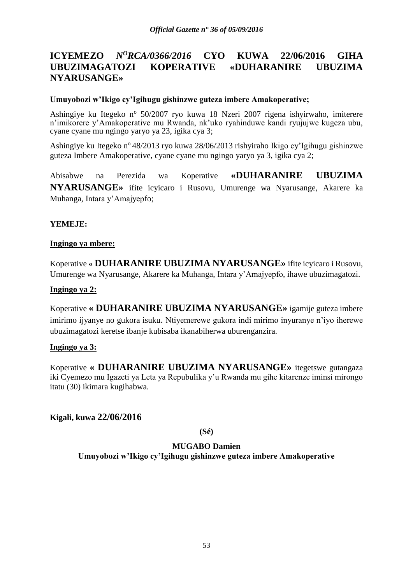# **ICYEMEZO** *N<sup>O</sup>RCA/0366/2016* **CYO KUWA 22/06/2016 GIHA UBUZIMAGATOZI KOPERATIVE «DUHARANIRE UBUZIMA NYARUSANGE»**

### **Umuyobozi w'Ikigo cy'Igihugu gishinzwe guteza imbere Amakoperative;**

Ashingiye ku Itegeko nº 50/2007 ryo kuwa 18 Nzeri 2007 rigena ishyirwaho, imiterere n'imikorere y'Amakoperative mu Rwanda, nk'uko ryahinduwe kandi ryujujwe kugeza ubu, cyane cyane mu ngingo yaryo ya 23, igika cya 3;

Ashingiye ku Itegeko n<sup>o</sup> 48/2013 ryo kuwa 28/06/2013 rishyiraho Ikigo cy'Igihugu gishinzwe guteza Imbere Amakoperative, cyane cyane mu ngingo yaryo ya 3, igika cya 2;

Abisabwe na Perezida wa Koperative **«DUHARANIRE UBUZIMA NYARUSANGE»** ifite icyicaro i Rusovu, Umurenge wa Nyarusange, Akarere ka Muhanga, Intara y'Amajyepfo;

### **YEMEJE:**

#### **Ingingo ya mbere:**

Koperative **« DUHARANIRE UBUZIMA NYARUSANGE»** ifite icyicaro i Rusovu, Umurenge wa Nyarusange, Akarere ka Muhanga, Intara y'Amajyepfo, ihawe ubuzimagatozi.

#### **Ingingo ya 2:**

Koperative **« DUHARANIRE UBUZIMA NYARUSANGE»** igamije guteza imbere imirimo ijyanye no gukora isuku. Ntiyemerewe gukora indi mirimo inyuranye n'iyo iherewe ubuzimagatozi keretse ibanje kubisaba ikanabiherwa uburenganzira.

#### **Ingingo ya 3:**

Koperative **« DUHARANIRE UBUZIMA NYARUSANGE»** itegetswe gutangaza iki Cyemezo mu Igazeti ya Leta ya Repubulika y'u Rwanda mu gihe kitarenze iminsi mirongo itatu (30) ikimara kugihabwa.

**Kigali, kuwa 22/06/2016**

**(Sé)**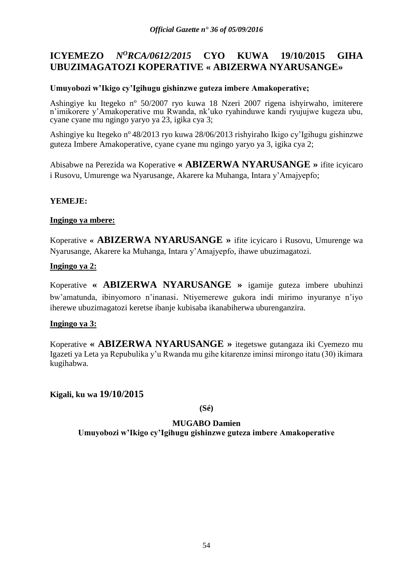# **ICYEMEZO** *N<sup>O</sup>RCA/0612/2015* **CYO KUWA 19/10/2015 GIHA UBUZIMAGATOZI KOPERATIVE « ABIZERWA NYARUSANGE»**

# **Umuyobozi w'Ikigo cy'Igihugu gishinzwe guteza imbere Amakoperative;**

Ashingiye ku Itegeko nº 50/2007 ryo kuwa 18 Nzeri 2007 rigena ishyirwaho, imiterere n'imikorere y'Amakoperative mu Rwanda, nk'uko ryahinduwe kandi ryujujwe kugeza ubu, cyane cyane mu ngingo yaryo ya 23, igika cya 3;

Ashingiye ku Itegeko n<sup>o</sup> 48/2013 ryo kuwa 28/06/2013 rishyiraho Ikigo cy'Igihugu gishinzwe guteza Imbere Amakoperative, cyane cyane mu ngingo yaryo ya 3, igika cya 2;

Abisabwe na Perezida wa Koperative **« ABIZERWA NYARUSANGE »** ifite icyicaro i Rusovu, Umurenge wa Nyarusange, Akarere ka Muhanga, Intara y'Amajyepfo;

# **YEMEJE:**

### **Ingingo ya mbere:**

Koperative **« ABIZERWA NYARUSANGE »** ifite icyicaro i Rusovu, Umurenge wa Nyarusange, Akarere ka Muhanga, Intara y'Amajyepfo, ihawe ubuzimagatozi.

### **Ingingo ya 2:**

Koperative **« ABIZERWA NYARUSANGE »** igamije guteza imbere ubuhinzi bw'amatunda, ibinyomoro n'inanasi. Ntiyemerewe gukora indi mirimo inyuranye n'iyo iherewe ubuzimagatozi keretse ibanje kubisaba ikanabiherwa uburenganzira.

#### **Ingingo ya 3:**

Koperative **« ABIZERWA NYARUSANGE »** itegetswe gutangaza iki Cyemezo mu Igazeti ya Leta ya Repubulika y'u Rwanda mu gihe kitarenze iminsi mirongo itatu (30) ikimara kugihabwa.

**Kigali, ku wa 19/10/2015**

**(Sé)**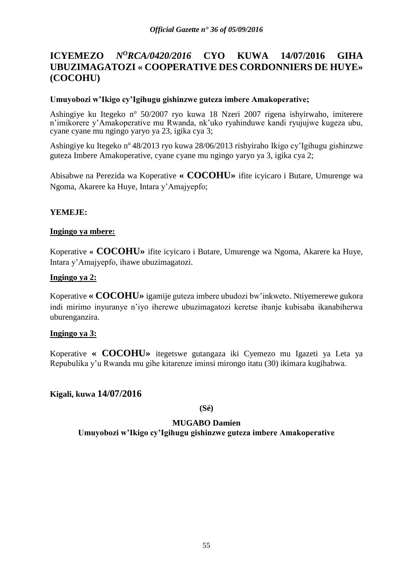# **ICYEMEZO** *N<sup>O</sup>RCA/0420/2016* **CYO KUWA 14/07/2016 GIHA UBUZIMAGATOZI « COOPERATIVE DES CORDONNIERS DE HUYE» (COCOHU)**

### **Umuyobozi w'Ikigo cy'Igihugu gishinzwe guteza imbere Amakoperative;**

Ashingiye ku Itegeko nº 50/2007 ryo kuwa 18 Nzeri 2007 rigena ishyirwaho, imiterere n'imikorere y'Amakoperative mu Rwanda, nk'uko ryahinduwe kandi ryujujwe kugeza ubu, cyane cyane mu ngingo yaryo ya 23, igika cya 3;

Ashingiye ku Itegeko nº 48/2013 ryo kuwa 28/06/2013 rishyiraho Ikigo cy'Igihugu gishinzwe guteza Imbere Amakoperative, cyane cyane mu ngingo yaryo ya 3, igika cya 2;

Abisabwe na Perezida wa Koperative **« COCOHU»** ifite icyicaro i Butare, Umurenge wa Ngoma, Akarere ka Huye, Intara y'Amajyepfo;

### **YEMEJE:**

### **Ingingo ya mbere:**

Koperative **« COCOHU»** ifite icyicaro i Butare, Umurenge wa Ngoma, Akarere ka Huye, Intara y'Amajyepfo, ihawe ubuzimagatozi.

### **Ingingo ya 2:**

Koperative **« COCOHU»** igamije guteza imbere ubudozi bw'inkweto. Ntiyemerewe gukora indi mirimo inyuranye n'iyo iherewe ubuzimagatozi keretse ibanje kubisaba ikanabiherwa uburenganzira.

#### **Ingingo ya 3:**

Koperative **« COCOHU»** itegetswe gutangaza iki Cyemezo mu Igazeti ya Leta ya Repubulika y'u Rwanda mu gihe kitarenze iminsi mirongo itatu (30) ikimara kugihabwa.

# **Kigali, kuwa 14/07/2016**

**(Sé)**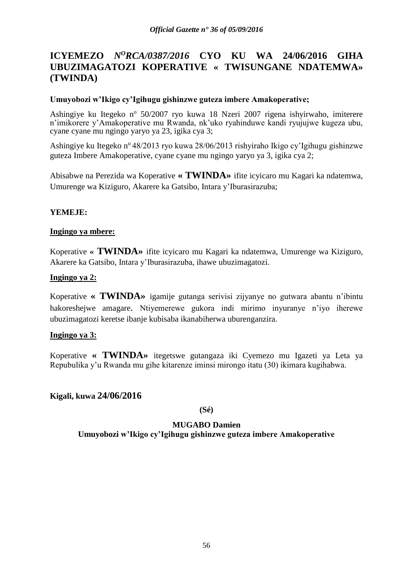# **ICYEMEZO** *N<sup>O</sup>RCA/0387/2016* **CYO KU WA 24/06/2016 GIHA UBUZIMAGATOZI KOPERATIVE « TWISUNGANE NDATEMWA» (TWINDA)**

### **Umuyobozi w'Ikigo cy'Igihugu gishinzwe guteza imbere Amakoperative;**

Ashingiye ku Itegeko nº 50/2007 ryo kuwa 18 Nzeri 2007 rigena ishyirwaho, imiterere n'imikorere y'Amakoperative mu Rwanda, nk'uko ryahinduwe kandi ryujujwe kugeza ubu, cyane cyane mu ngingo yaryo ya 23, igika cya 3;

Ashingiye ku Itegeko n<sup>o</sup> 48/2013 ryo kuwa 28/06/2013 rishyiraho Ikigo cy'Igihugu gishinzwe guteza Imbere Amakoperative, cyane cyane mu ngingo yaryo ya 3, igika cya 2;

Abisabwe na Perezida wa Koperative **« TWINDA»** ifite icyicaro mu Kagari ka ndatemwa, Umurenge wa Kiziguro, Akarere ka Gatsibo, Intara y'Iburasirazuba;

### **YEMEJE:**

### **Ingingo ya mbere:**

Koperative **« TWINDA»** ifite icyicaro mu Kagari ka ndatemwa, Umurenge wa Kiziguro, Akarere ka Gatsibo, Intara y'Iburasirazuba, ihawe ubuzimagatozi.

#### **Ingingo ya 2:**

Koperative **« TWINDA»** igamije gutanga serivisi zijyanye no gutwara abantu n'ibintu hakoreshejwe amagare. Ntiyemerewe gukora indi mirimo inyuranye n'iyo iherewe ubuzimagatozi keretse ibanje kubisaba ikanabiherwa uburenganzira.

#### **Ingingo ya 3:**

Koperative **« TWINDA»** itegetswe gutangaza iki Cyemezo mu Igazeti ya Leta ya Repubulika y'u Rwanda mu gihe kitarenze iminsi mirongo itatu (30) ikimara kugihabwa.

# **Kigali, kuwa 24/06/2016**

**(Sé)**

#### **MUGABO Damien**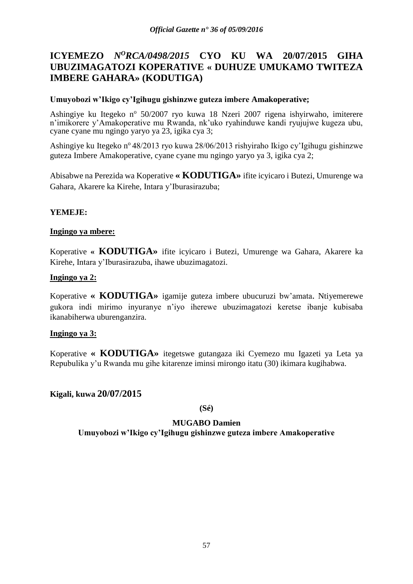# **ICYEMEZO** *N<sup>O</sup>RCA/0498/2015* **CYO KU WA 20/07/2015 GIHA UBUZIMAGATOZI KOPERATIVE « DUHUZE UMUKAMO TWITEZA IMBERE GAHARA» (KODUTIGA)**

### **Umuyobozi w'Ikigo cy'Igihugu gishinzwe guteza imbere Amakoperative;**

Ashingiye ku Itegeko nº 50/2007 ryo kuwa 18 Nzeri 2007 rigena ishyirwaho, imiterere n'imikorere y'Amakoperative mu Rwanda, nk'uko ryahinduwe kandi ryujujwe kugeza ubu, cyane cyane mu ngingo yaryo ya 23, igika cya 3;

Ashingiye ku Itegeko n° 48/2013 ryo kuwa 28/06/2013 rishyiraho Ikigo cy'Igihugu gishinzwe guteza Imbere Amakoperative, cyane cyane mu ngingo yaryo ya 3, igika cya 2;

Abisabwe na Perezida wa Koperative **« KODUTIGA»** ifite icyicaro i Butezi, Umurenge wa Gahara, Akarere ka Kirehe, Intara y'Iburasirazuba;

### **YEMEJE:**

### **Ingingo ya mbere:**

Koperative **« KODUTIGA»** ifite icyicaro i Butezi, Umurenge wa Gahara, Akarere ka Kirehe, Intara y'Iburasirazuba, ihawe ubuzimagatozi.

### **Ingingo ya 2:**

Koperative **« KODUTIGA»** igamije guteza imbere ubucuruzi bw'amata. Ntiyemerewe gukora indi mirimo inyuranye n'iyo iherewe ubuzimagatozi keretse ibanje kubisaba ikanabiherwa uburenganzira.

#### **Ingingo ya 3:**

Koperative **« KODUTIGA»** itegetswe gutangaza iki Cyemezo mu Igazeti ya Leta ya Repubulika y'u Rwanda mu gihe kitarenze iminsi mirongo itatu (30) ikimara kugihabwa.

# **Kigali, kuwa 20/07/2015**

#### **(Sé)**

### **MUGABO Damien**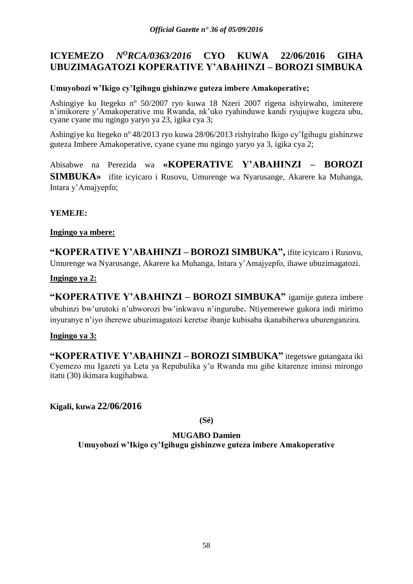# **ICYEMEZO** *N<sup>O</sup>RCA/0363/2016* **CYO KUWA 22/06/2016 GIHA UBUZIMAGATOZI KOPERATIVE Y'ABAHINZI – BOROZI SIMBUKA**

# **Umuyobozi w'Ikigo cy'Igihugu gishinzwe guteza imbere Amakoperative;**

Ashingiye ku Itegeko nº 50/2007 ryo kuwa 18 Nzeri 2007 rigena ishyirwaho, imiterere n'imikorere y'Amakoperative mu Rwanda, nk'uko ryahinduwe kandi ryujujwe kugeza ubu, cyane cyane mu ngingo yaryo ya 23, igika cya 3;

Ashingiye ku Itegeko n<sup>o</sup> 48/2013 ryo kuwa 28/06/2013 rishyiraho Ikigo cy'Igihugu gishinzwe guteza Imbere Amakoperative, cyane cyane mu ngingo yaryo ya 3, igika cya 2;

Abisabwe na Perezida wa **«KOPERATIVE Y'ABAHINZI – BOROZI SIMBUKA»** ifite icyicaro i Rusovu, Umurenge wa Nyarusange, Akarere ka Muhanga, Intara y'Amajyepfo;

**YEMEJE:**

### **Ingingo ya mbere:**

**"KOPERATIVE Y'ABAHINZI – BOROZI SIMBUKA" ,** ifite icyicaro i Rusovu, Umurenge wa Nyarusange, Akarere ka Muhanga, Intara y'Amajyepfo, ihawe ubuzimagatozi.

**Ingingo ya 2:**

**"KOPERATIVE Y'ABAHINZI – BOROZI SIMBUKA"** igamije guteza imbere ubuhinzi bw'urutoki n'ubworozi bw'inkwavu n'ingurube. Ntiyemerewe gukora indi mirimo inyuranye n'iyo iherewe ubuzimagatozi keretse ibanje kubisaba ikanabiherwa uburenganzira.

# **Ingingo ya 3:**

**"KOPERATIVE Y'ABAHINZI – BOROZI SIMBUKA"** itegetswe gutangaza iki Cyemezo mu Igazeti ya Leta ya Repubulika y'u Rwanda mu gihe kitarenze iminsi mirongo itatu (30) ikimara kugihabwa.

**Kigali, kuwa 22/06/2016**

**(Sé)**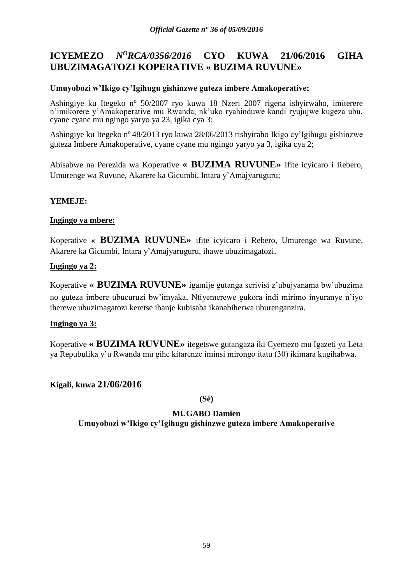# **ICYEMEZO** *N<sup>O</sup>RCA/0356/2016* **CYO KUWA 21/06/2016 GIHA UBUZIMAGATOZI KOPERATIVE « BUZIMA RUVUNE»**

# **Umuyobozi w'Ikigo cy'Igihugu gishinzwe guteza imbere Amakoperative;**

Ashingiye ku Itegeko nº 50/2007 ryo kuwa 18 Nzeri 2007 rigena ishyirwaho, imiterere n'imikorere y'Amakoperative mu Rwanda, nk'uko ryahinduwe kandi ryujujwe kugeza ubu, cyane cyane mu ngingo yaryo ya 23, igika cya 3;

Ashingiye ku Itegeko n<sup>o</sup> 48/2013 ryo kuwa 28/06/2013 rishyiraho Ikigo cy'Igihugu gishinzwe guteza Imbere Amakoperative, cyane cyane mu ngingo yaryo ya 3, igika cya 2;

Abisabwe na Perezida wa Koperative **« BUZIMA RUVUNE»** ifite icyicaro i Rebero, Umurenge wa Ruvune, Akarere ka Gicumbi, Intara y'Amajyaruguru;

# **YEMEJE:**

### **Ingingo ya mbere:**

Koperative **« BUZIMA RUVUNE»** ifite icyicaro i Rebero, Umurenge wa Ruvune, Akarere ka Gicumbi, Intara y'Amajyaruguru, ihawe ubuzimagatozi.

### **Ingingo ya 2:**

Koperative **« BUZIMA RUVUNE»** igamije gutanga serivisi z'ubujyanama bw'ubuzima no guteza imbere ubucuruzi bw'imyaka. Ntiyemerewe gukora indi mirimo inyuranye n'iyo iherewe ubuzimagatozi keretse ibanje kubisaba ikanabiherwa uburenganzira.

#### **Ingingo ya 3:**

Koperative **« BUZIMA RUVUNE»** itegetswe gutangaza iki Cyemezo mu Igazeti ya Leta ya Repubulika y'u Rwanda mu gihe kitarenze iminsi mirongo itatu (30) ikimara kugihabwa.

# **Kigali, kuwa 21/06/2016**

**(Sé)**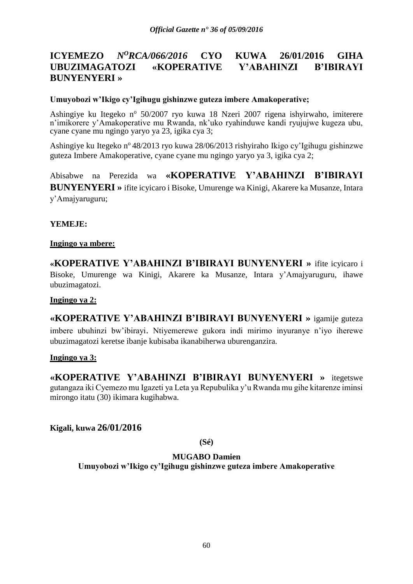# **ICYEMEZO** *N<sup>O</sup>RCA/066/2016* **CYO KUWA 26/01/2016 GIHA UBUZIMAGATOZI «KOPERATIVE Y'ABAHINZI B'IBIRAYI BUNYENYERI »**

### **Umuyobozi w'Ikigo cy'Igihugu gishinzwe guteza imbere Amakoperative;**

Ashingiye ku Itegeko nº 50/2007 ryo kuwa 18 Nzeri 2007 rigena ishyirwaho, imiterere n'imikorere y'Amakoperative mu Rwanda, nk'uko ryahinduwe kandi ryujujwe kugeza ubu, cyane cyane mu ngingo yaryo ya 23, igika cya 3;

Ashingiye ku Itegeko nº 48/2013 ryo kuwa 28/06/2013 rishyiraho Ikigo cy'Igihugu gishinzwe guteza Imbere Amakoperative, cyane cyane mu ngingo yaryo ya 3, igika cya 2;

Abisabwe na Perezida wa **«KOPERATIVE Y'ABAHINZI B'IBIRAYI BUNYENYERI »** ifite icyicaro i Bisoke, Umurenge wa Kinigi, Akarere ka Musanze, Intara y'Amajyaruguru;

#### **YEMEJE:**

#### **Ingingo ya mbere:**

**«KOPERATIVE Y'ABAHINZI B'IBIRAYI BUNYENYERI »** ifite icyicaro i Bisoke, Umurenge wa Kinigi, Akarere ka Musanze, Intara y'Amajyaruguru, ihawe ubuzimagatozi.

#### **Ingingo ya 2:**

**«KOPERATIVE Y'ABAHINZI B'IBIRAYI BUNYENYERI »** igamije guteza imbere ubuhinzi bw'ibirayi. Ntiyemerewe gukora indi mirimo inyuranye n'iyo iherewe ubuzimagatozi keretse ibanje kubisaba ikanabiherwa uburenganzira.

#### **Ingingo ya 3:**

**«KOPERATIVE Y'ABAHINZI B'IBIRAYI BUNYENYERI »** itegetswe gutangaza iki Cyemezo mu Igazeti ya Leta ya Repubulika y'u Rwanda mu gihe kitarenze iminsi mirongo itatu (30) ikimara kugihabwa.

# **Kigali, kuwa 26/01/2016**

**(Sé)**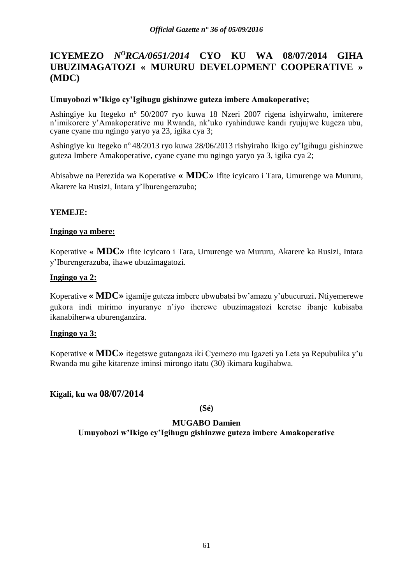# **ICYEMEZO** *N<sup>O</sup>RCA/0651/2014* **CYO KU WA 08/07/2014 GIHA UBUZIMAGATOZI « MURURU DEVELOPMENT COOPERATIVE » (MDC)**

#### **Umuyobozi w'Ikigo cy'Igihugu gishinzwe guteza imbere Amakoperative;**

Ashingiye ku Itegeko nº 50/2007 ryo kuwa 18 Nzeri 2007 rigena ishyirwaho, imiterere n'imikorere y'Amakoperative mu Rwanda, nk'uko ryahinduwe kandi ryujujwe kugeza ubu, cyane cyane mu ngingo yaryo ya 23, igika cya 3;

Ashingiye ku Itegeko nº 48/2013 ryo kuwa 28/06/2013 rishyiraho Ikigo cy'Igihugu gishinzwe guteza Imbere Amakoperative, cyane cyane mu ngingo yaryo ya 3, igika cya 2;

Abisabwe na Perezida wa Koperative **« MDC»** ifite icyicaro i Tara, Umurenge wa Mururu, Akarere ka Rusizi, Intara y'Iburengerazuba;

### **YEMEJE:**

### **Ingingo ya mbere:**

Koperative **« MDC»** ifite icyicaro i Tara, Umurenge wa Mururu, Akarere ka Rusizi, Intara y'Iburengerazuba, ihawe ubuzimagatozi.

### **Ingingo ya 2:**

Koperative **« MDC»** igamije guteza imbere ubwubatsi bw'amazu y'ubucuruzi. Ntiyemerewe gukora indi mirimo inyuranye n'iyo iherewe ubuzimagatozi keretse ibanje kubisaba ikanabiherwa uburenganzira.

#### **Ingingo ya 3:**

Koperative **« MDC»** itegetswe gutangaza iki Cyemezo mu Igazeti ya Leta ya Repubulika y'u Rwanda mu gihe kitarenze iminsi mirongo itatu (30) ikimara kugihabwa.

# **Kigali, ku wa 08/07/2014**

**(Sé)**

#### **MUGABO Damien**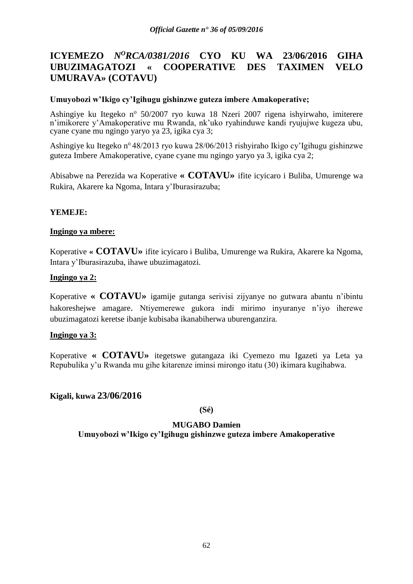# **ICYEMEZO** *N<sup>O</sup>RCA/0381/2016* **CYO KU WA 23/06/2016 GIHA UBUZIMAGATOZI « COOPERATIVE DES TAXIMEN VELO UMURAVA» (COTAVU)**

### **Umuyobozi w'Ikigo cy'Igihugu gishinzwe guteza imbere Amakoperative;**

Ashingiye ku Itegeko nº 50/2007 ryo kuwa 18 Nzeri 2007 rigena ishyirwaho, imiterere n'imikorere y'Amakoperative mu Rwanda, nk'uko ryahinduwe kandi ryujujwe kugeza ubu, cyane cyane mu ngingo yaryo ya 23, igika cya 3;

Ashingiye ku Itegeko nº 48/2013 ryo kuwa 28/06/2013 rishyiraho Ikigo cy'Igihugu gishinzwe guteza Imbere Amakoperative, cyane cyane mu ngingo yaryo ya 3, igika cya 2;

Abisabwe na Perezida wa Koperative **« COTAVU»** ifite icyicaro i Buliba, Umurenge wa Rukira, Akarere ka Ngoma, Intara y'Iburasirazuba;

### **YEMEJE:**

### **Ingingo ya mbere:**

Koperative **« COTAVU»** ifite icyicaro i Buliba, Umurenge wa Rukira, Akarere ka Ngoma, Intara y'Iburasirazuba, ihawe ubuzimagatozi.

### **Ingingo ya 2:**

Koperative **« COTAVU»** igamije gutanga serivisi zijyanye no gutwara abantu n'ibintu hakoreshejwe amagare. Ntiyemerewe gukora indi mirimo inyuranye n'iyo iherewe ubuzimagatozi keretse ibanje kubisaba ikanabiherwa uburenganzira.

#### **Ingingo ya 3:**

Koperative **« COTAVU»** itegetswe gutangaza iki Cyemezo mu Igazeti ya Leta ya Repubulika y'u Rwanda mu gihe kitarenze iminsi mirongo itatu (30) ikimara kugihabwa.

# **Kigali, kuwa 23/06/2016**

**(Sé)**

#### **MUGABO Damien**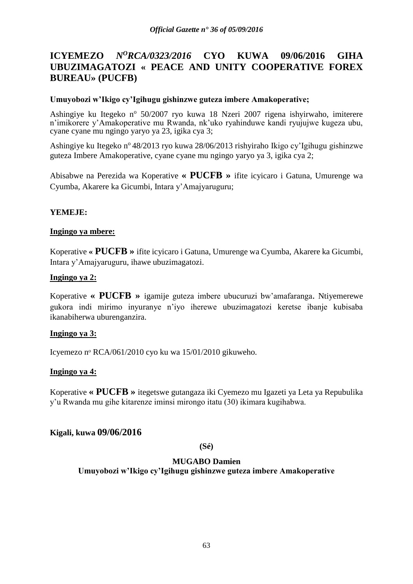# **ICYEMEZO** *N<sup>O</sup>RCA/0323/2016* **CYO KUWA 09/06/2016 GIHA UBUZIMAGATOZI « PEACE AND UNITY COOPERATIVE FOREX BUREAU» (PUCFB)**

### **Umuyobozi w'Ikigo cy'Igihugu gishinzwe guteza imbere Amakoperative;**

Ashingiye ku Itegeko nº 50/2007 ryo kuwa 18 Nzeri 2007 rigena ishyirwaho, imiterere n'imikorere y'Amakoperative mu Rwanda, nk'uko ryahinduwe kandi ryujujwe kugeza ubu, cyane cyane mu ngingo yaryo ya 23, igika cya 3;

Ashingiye ku Itegeko nº 48/2013 ryo kuwa 28/06/2013 rishyiraho Ikigo cy'Igihugu gishinzwe guteza Imbere Amakoperative, cyane cyane mu ngingo yaryo ya 3, igika cya 2;

Abisabwe na Perezida wa Koperative **« PUCFB »** ifite icyicaro i Gatuna, Umurenge wa Cyumba, Akarere ka Gicumbi, Intara y'Amajyaruguru;

### **YEMEJE:**

### **Ingingo ya mbere:**

Koperative **« PUCFB »** ifite icyicaro i Gatuna, Umurenge wa Cyumba, Akarere ka Gicumbi, Intara y'Amajyaruguru, ihawe ubuzimagatozi.

#### **Ingingo ya 2:**

Koperative **« PUCFB »** igamije guteza imbere ubucuruzi bw'amafaranga. Ntiyemerewe gukora indi mirimo inyuranye n'iyo iherewe ubuzimagatozi keretse ibanje kubisaba ikanabiherwa uburenganzira.

#### **Ingingo ya 3:**

Icyemezo nᵒ RCA/061/2010 cyo ku wa 15/01/2010 gikuweho.

# **Ingingo ya 4:**

Koperative **« PUCFB »** itegetswe gutangaza iki Cyemezo mu Igazeti ya Leta ya Repubulika y'u Rwanda mu gihe kitarenze iminsi mirongo itatu (30) ikimara kugihabwa.

# **Kigali, kuwa 09/06/2016**

#### **(Sé)**